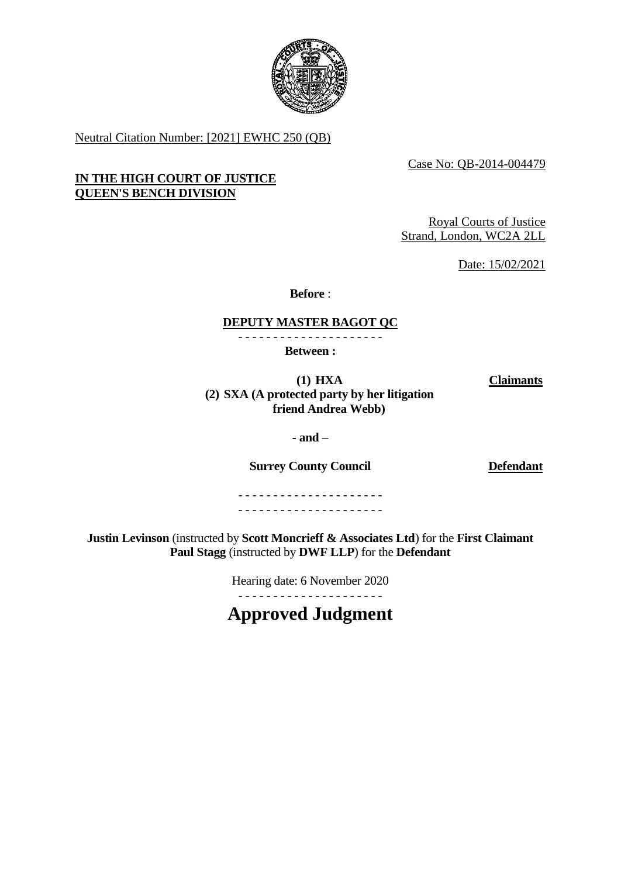

Neutral Citation Number: [2021] EWHC 250 (QB)

Case No: QB-2014-004479

# **IN THE HIGH COURT OF JUSTICE QUEEN'S BENCH DIVISION**

Royal Courts of Justice Strand, London, WC2A 2LL

Date: 15/02/2021

**Before** :

### **DEPUTY MASTER BAGOT QC** - - - - - - - - - - - - - - - - - - - - -

**Between :**

**Claimants**

**(1) HXA (2) SXA (A protected party by her litigation friend Andrea Webb)**

**- and –**

**Surrey County Council Defendant**

- - - - - - - - - - - - - - - - - - - - - - - - - - - - - - - - - - - - - - - - - -

**Justin Levinson** (instructed by **Scott Moncrieff & Associates Ltd**) for the **First Claimant Paul Stagg** (instructed by **DWF LLP**) for the **Defendant**

Hearing date: 6 November 2020

- - - - - - - - - - - - - - - - - - - - -

**Approved Judgment**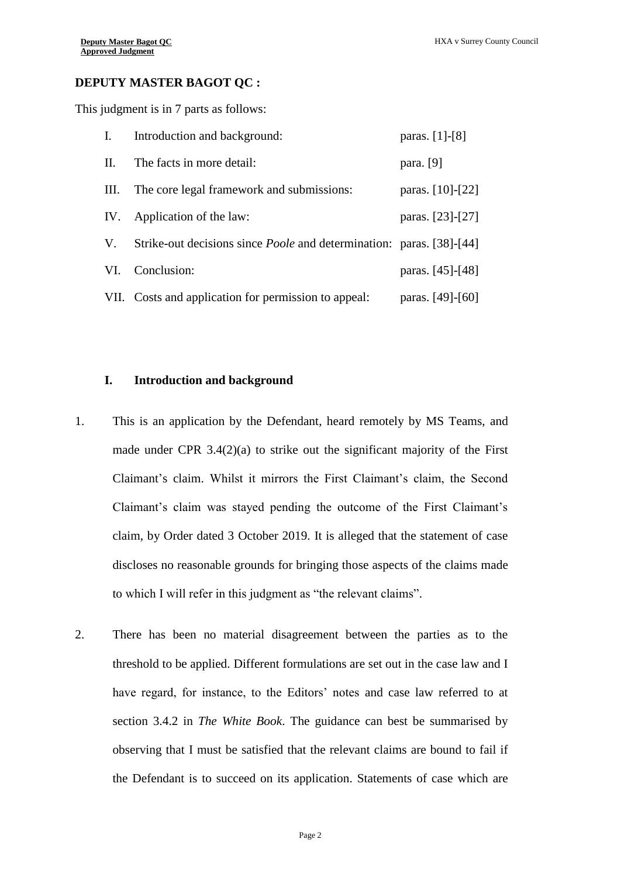## **DEPUTY MASTER BAGOT QC :**

This judgment is in 7 parts as follows:

| $\mathbf{I}$ . | Introduction and background:                                                | paras. [1]-[8]     |
|----------------|-----------------------------------------------------------------------------|--------------------|
| II.            | The facts in more detail:                                                   | para. [9]          |
| III.           | The core legal framework and submissions:                                   | paras. $[10]-[22]$ |
| IV.            | Application of the law:                                                     | paras. [23]-[27]   |
| V.             | Strike-out decisions since <i>Poole</i> and determination: paras. [38]-[44] |                    |
| VI.            | Conclusion:                                                                 | paras. [45]-[48]   |
|                | VII. Costs and application for permission to appeal:                        | paras. $[49]-[60]$ |

#### **I. Introduction and background**

- 1. This is an application by the Defendant, heard remotely by MS Teams, and made under CPR  $3.4(2)(a)$  to strike out the significant majority of the First Claimant's claim. Whilst it mirrors the First Claimant's claim, the Second Claimant's claim was stayed pending the outcome of the First Claimant's claim, by Order dated 3 October 2019. It is alleged that the statement of case discloses no reasonable grounds for bringing those aspects of the claims made to which I will refer in this judgment as "the relevant claims".
- 2. There has been no material disagreement between the parties as to the threshold to be applied. Different formulations are set out in the case law and I have regard, for instance, to the Editors' notes and case law referred to at section 3.4.2 in *The White Book*. The guidance can best be summarised by observing that I must be satisfied that the relevant claims are bound to fail if the Defendant is to succeed on its application. Statements of case which are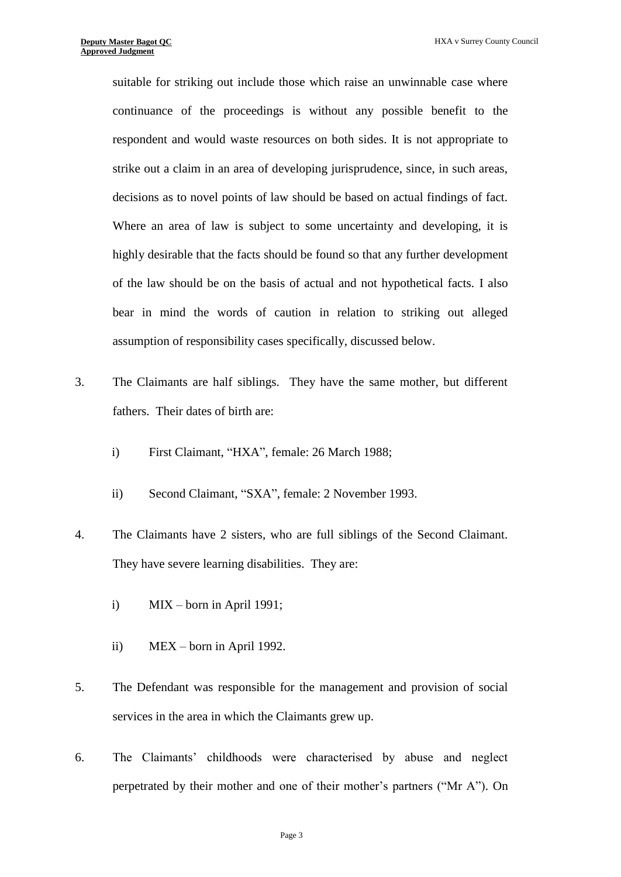suitable for striking out include those which raise an unwinnable case where continuance of the proceedings is without any possible benefit to the respondent and would waste resources on both sides. It is not appropriate to strike out a claim in an area of developing jurisprudence, since, in such areas, decisions as to novel points of law should be based on actual findings of fact. Where an area of law is subject to some uncertainty and developing, it is highly desirable that the facts should be found so that any further development of the law should be on the basis of actual and not hypothetical facts. I also bear in mind the words of caution in relation to striking out alleged assumption of responsibility cases specifically, discussed below.

- 3. The Claimants are half siblings. They have the same mother, but different fathers. Their dates of birth are:
	- i) First Claimant, "HXA", female: 26 March 1988;
	- ii) Second Claimant, "SXA", female: 2 November 1993.
- 4. The Claimants have 2 sisters, who are full siblings of the Second Claimant. They have severe learning disabilities. They are:
	- i) MIX born in April 1991;
	- ii) MEX born in April 1992.
- 5. The Defendant was responsible for the management and provision of social services in the area in which the Claimants grew up.
- 6. The Claimants' childhoods were characterised by abuse and neglect perpetrated by their mother and one of their mother's partners ("Mr A"). On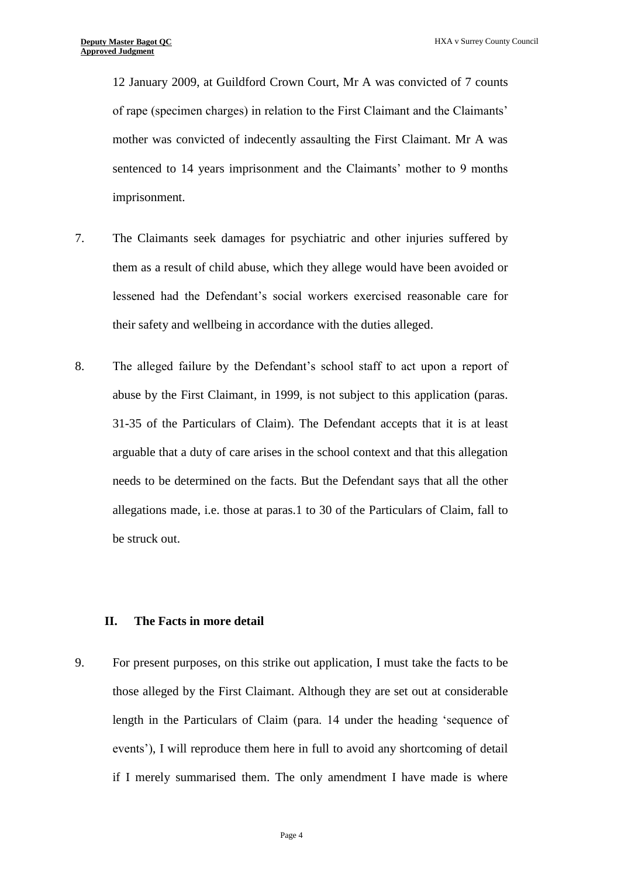12 January 2009, at Guildford Crown Court, Mr A was convicted of 7 counts of rape (specimen charges) in relation to the First Claimant and the Claimants' mother was convicted of indecently assaulting the First Claimant. Mr A was sentenced to 14 years imprisonment and the Claimants' mother to 9 months imprisonment.

- 7. The Claimants seek damages for psychiatric and other injuries suffered by them as a result of child abuse, which they allege would have been avoided or lessened had the Defendant's social workers exercised reasonable care for their safety and wellbeing in accordance with the duties alleged.
- 8. The alleged failure by the Defendant's school staff to act upon a report of abuse by the First Claimant, in 1999, is not subject to this application (paras. 31-35 of the Particulars of Claim). The Defendant accepts that it is at least arguable that a duty of care arises in the school context and that this allegation needs to be determined on the facts. But the Defendant says that all the other allegations made, i.e. those at paras.1 to 30 of the Particulars of Claim, fall to be struck out.

# **II. The Facts in more detail**

9. For present purposes, on this strike out application, I must take the facts to be those alleged by the First Claimant. Although they are set out at considerable length in the Particulars of Claim (para. 14 under the heading 'sequence of events'), I will reproduce them here in full to avoid any shortcoming of detail if I merely summarised them. The only amendment I have made is where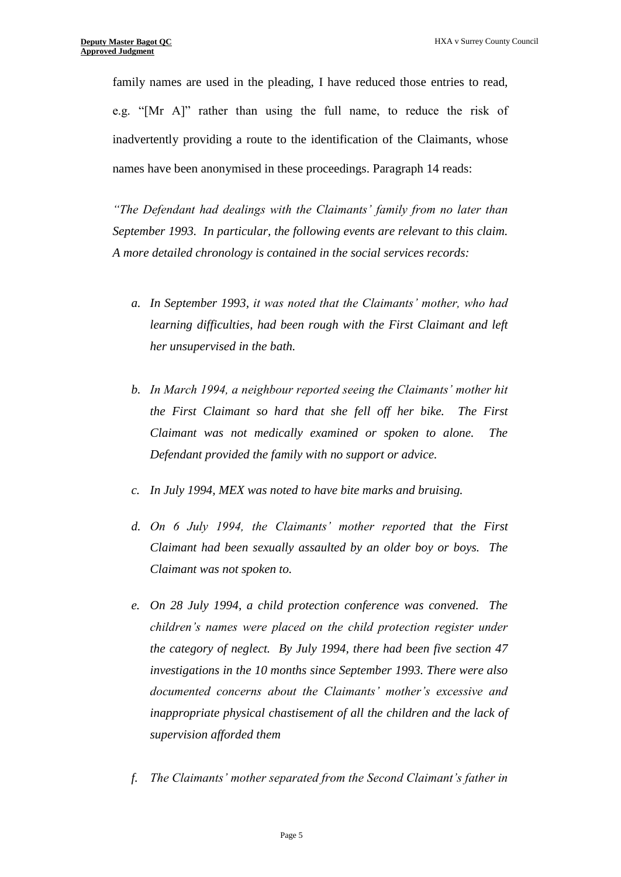family names are used in the pleading, I have reduced those entries to read, e.g. "[Mr A]" rather than using the full name, to reduce the risk of inadvertently providing a route to the identification of the Claimants, whose names have been anonymised in these proceedings. Paragraph 14 reads:

*"The Defendant had dealings with the Claimants' family from no later than September 1993. In particular, the following events are relevant to this claim. A more detailed chronology is contained in the social services records:*

- *a. In September 1993, it was noted that the Claimants' mother, who had learning difficulties, had been rough with the First Claimant and left her unsupervised in the bath.*
- *b. In March 1994, a neighbour reported seeing the Claimants' mother hit the First Claimant so hard that she fell off her bike. The First Claimant was not medically examined or spoken to alone. The Defendant provided the family with no support or advice.*
- *c. In July 1994, MEX was noted to have bite marks and bruising.*
- *d. On 6 July 1994, the Claimants' mother reported that the First Claimant had been sexually assaulted by an older boy or boys. The Claimant was not spoken to.*
- *e. On 28 July 1994, a child protection conference was convened. The children's names were placed on the child protection register under the category of neglect. By July 1994, there had been five section 47 investigations in the 10 months since September 1993. There were also documented concerns about the Claimants' mother's excessive and inappropriate physical chastisement of all the children and the lack of supervision afforded them*
- *f. The Claimants' mother separated from the Second Claimant's father in*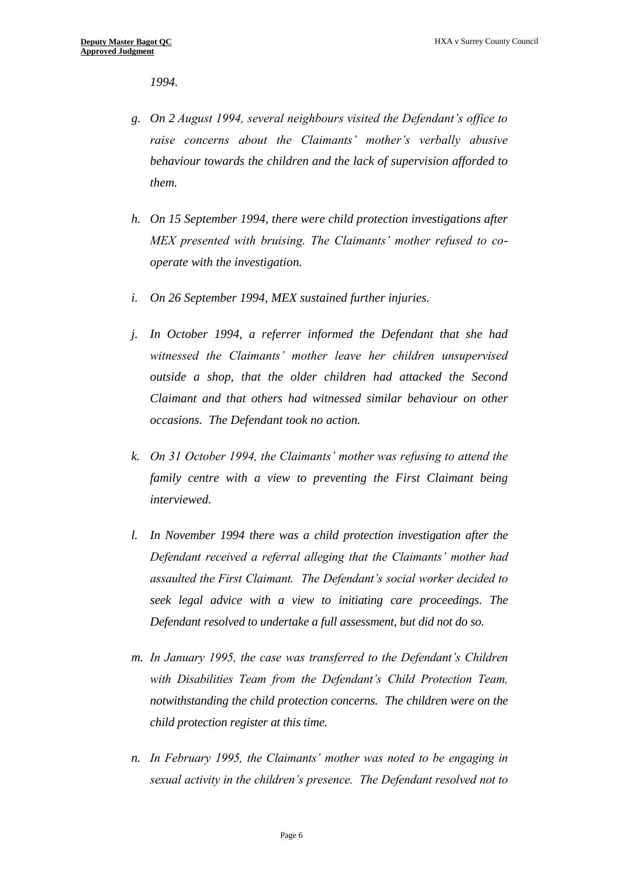*1994.*

- *g. On 2 August 1994, several neighbours visited the Defendant's office to raise concerns about the Claimants' mother's verbally abusive behaviour towards the children and the lack of supervision afforded to them.*
- *h. On 15 September 1994, there were child protection investigations after MEX presented with bruising. The Claimants' mother refused to cooperate with the investigation.*
- *i. On 26 September 1994, MEX sustained further injuries.*
- *j. In October 1994, a referrer informed the Defendant that she had witnessed the Claimants' mother leave her children unsupervised outside a shop, that the older children had attacked the Second Claimant and that others had witnessed similar behaviour on other occasions. The Defendant took no action.*
- *k. On 31 October 1994, the Claimants' mother was refusing to attend the family centre with a view to preventing the First Claimant being interviewed.*
- *l. In November 1994 there was a child protection investigation after the Defendant received a referral alleging that the Claimants' mother had assaulted the First Claimant. The Defendant's social worker decided to seek legal advice with a view to initiating care proceedings. The Defendant resolved to undertake a full assessment, but did not do so.*
- *m. In January 1995, the case was transferred to the Defendant's Children with Disabilities Team from the Defendant's Child Protection Team, notwithstanding the child protection concerns. The children were on the child protection register at this time.*
- *n. In February 1995, the Claimants' mother was noted to be engaging in sexual activity in the children's presence. The Defendant resolved not to*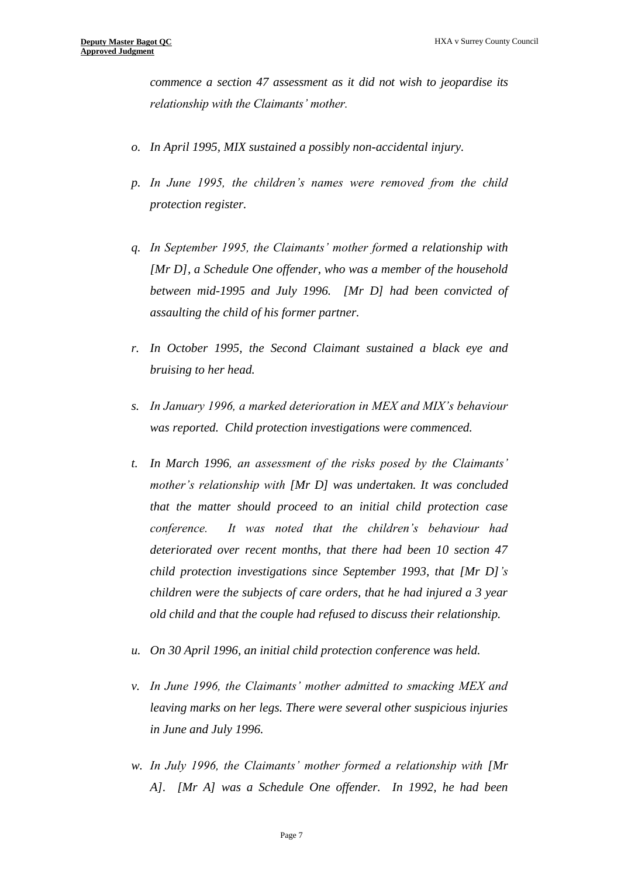*commence a section 47 assessment as it did not wish to jeopardise its relationship with the Claimants' mother.*

- *o. In April 1995, MIX sustained a possibly non-accidental injury.*
- *p. In June 1995, the children's names were removed from the child protection register.*
- *q. In September 1995, the Claimants' mother formed a relationship with [Mr D], a Schedule One offender, who was a member of the household between mid-1995 and July 1996. [Mr D] had been convicted of assaulting the child of his former partner.*
- *r. In October 1995, the Second Claimant sustained a black eye and bruising to her head.*
- *s. In January 1996, a marked deterioration in MEX and MIX's behaviour was reported. Child protection investigations were commenced.*
- *t. In March 1996, an assessment of the risks posed by the Claimants' mother's relationship with [Mr D] was undertaken. It was concluded that the matter should proceed to an initial child protection case conference. It was noted that the children's behaviour had deteriorated over recent months, that there had been 10 section 47 child protection investigations since September 1993, that [Mr D]'s children were the subjects of care orders, that he had injured a 3 year old child and that the couple had refused to discuss their relationship.*
- *u. On 30 April 1996, an initial child protection conference was held.*
- *v. In June 1996, the Claimants' mother admitted to smacking MEX and leaving marks on her legs. There were several other suspicious injuries in June and July 1996.*
- *w. In July 1996, the Claimants' mother formed a relationship with [Mr A]. [Mr A] was a Schedule One offender. In 1992, he had been*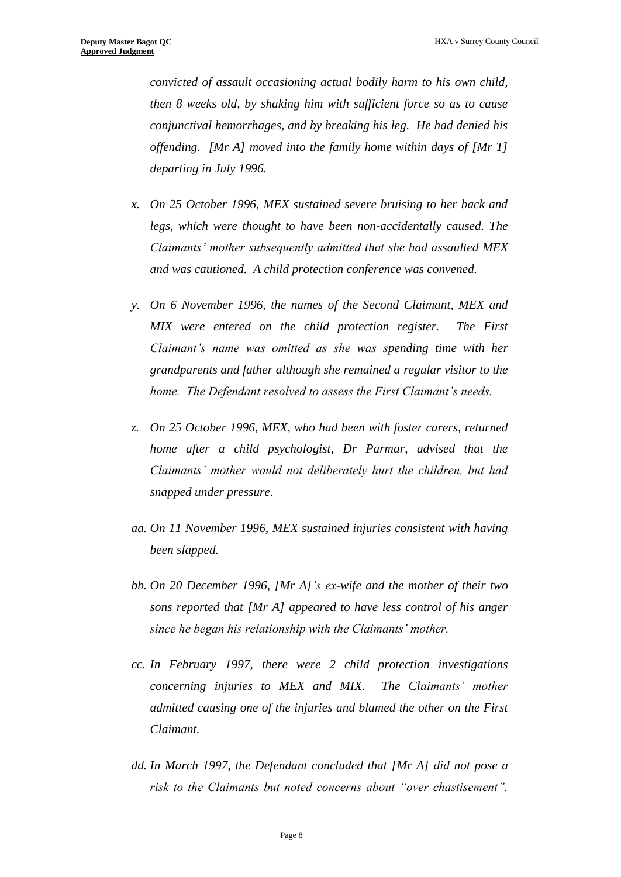*convicted of assault occasioning actual bodily harm to his own child, then 8 weeks old, by shaking him with sufficient force so as to cause conjunctival hemorrhages, and by breaking his leg. He had denied his offending. [Mr A] moved into the family home within days of [Mr T] departing in July 1996.* 

- *x. On 25 October 1996, MEX sustained severe bruising to her back and legs, which were thought to have been non-accidentally caused. The Claimants' mother subsequently admitted that she had assaulted MEX and was cautioned. A child protection conference was convened.*
- *y. On 6 November 1996, the names of the Second Claimant, MEX and MIX were entered on the child protection register. The First Claimant's name was omitted as she was spending time with her grandparents and father although she remained a regular visitor to the home. The Defendant resolved to assess the First Claimant's needs.*
- *z. On 25 October 1996, MEX, who had been with foster carers, returned home after a child psychologist, Dr Parmar, advised that the Claimants' mother would not deliberately hurt the children, but had snapped under pressure.*
- *aa. On 11 November 1996, MEX sustained injuries consistent with having been slapped.*
- *bb. On 20 December 1996, [Mr A]'s ex-wife and the mother of their two sons reported that [Mr A] appeared to have less control of his anger since he began his relationship with the Claimants' mother.*
- *cc. In February 1997, there were 2 child protection investigations concerning injuries to MEX and MIX. The Claimants' mother admitted causing one of the injuries and blamed the other on the First Claimant.*
- *dd. In March 1997, the Defendant concluded that [Mr A] did not pose a risk to the Claimants but noted concerns about "over chastisement".*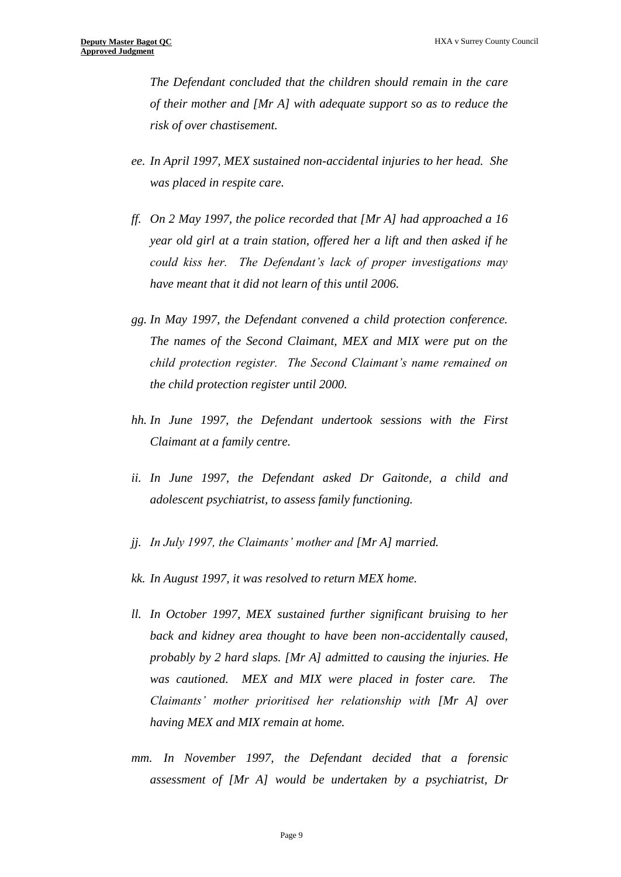*The Defendant concluded that the children should remain in the care of their mother and [Mr A] with adequate support so as to reduce the risk of over chastisement.*

- *ee. In April 1997, MEX sustained non-accidental injuries to her head. She was placed in respite care.*
- *ff. On 2 May 1997, the police recorded that [Mr A] had approached a 16 year old girl at a train station, offered her a lift and then asked if he could kiss her. The Defendant's lack of proper investigations may have meant that it did not learn of this until 2006.*
- *gg. In May 1997, the Defendant convened a child protection conference. The names of the Second Claimant, MEX and MIX were put on the child protection register. The Second Claimant's name remained on the child protection register until 2000.*
- *hh. In June 1997, the Defendant undertook sessions with the First Claimant at a family centre.*
- *ii. In June 1997, the Defendant asked Dr Gaitonde, a child and adolescent psychiatrist, to assess family functioning.*
- *jj. In July 1997, the Claimants' mother and [Mr A] married.*
- *kk. In August 1997, it was resolved to return MEX home.*
- *ll. In October 1997, MEX sustained further significant bruising to her back and kidney area thought to have been non-accidentally caused, probably by 2 hard slaps. [Mr A] admitted to causing the injuries. He was cautioned. MEX and MIX were placed in foster care. The Claimants' mother prioritised her relationship with [Mr A] over having MEX and MIX remain at home.*
- *mm. In November 1997, the Defendant decided that a forensic assessment of [Mr A] would be undertaken by a psychiatrist, Dr*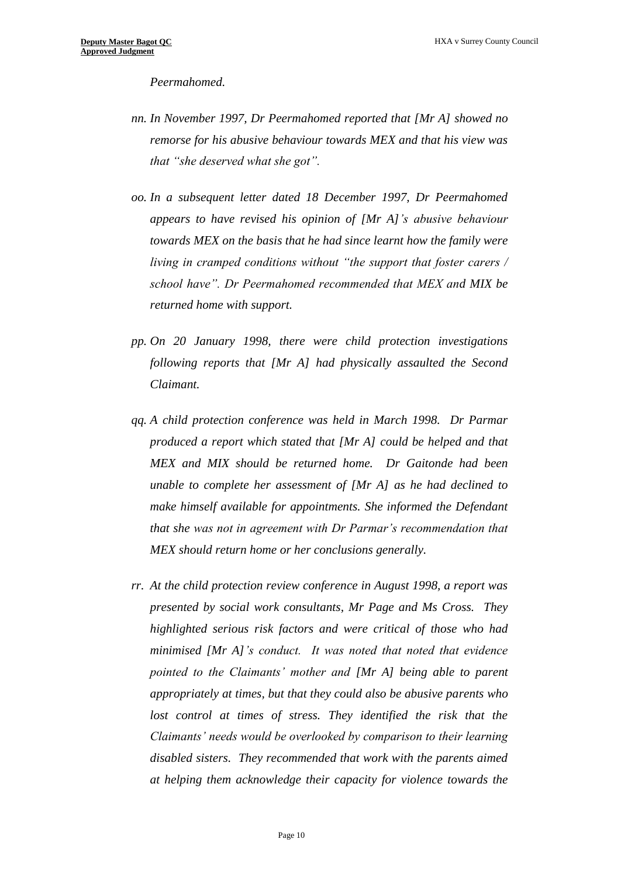*Peermahomed.*

- *nn. In November 1997, Dr Peermahomed reported that [Mr A] showed no remorse for his abusive behaviour towards MEX and that his view was that "she deserved what she got".*
- *oo. In a subsequent letter dated 18 December 1997, Dr Peermahomed appears to have revised his opinion of [Mr A]'s abusive behaviour towards MEX on the basis that he had since learnt how the family were living in cramped conditions without "the support that foster carers / school have". Dr Peermahomed recommended that MEX and MIX be returned home with support.*
- *pp. On 20 January 1998, there were child protection investigations following reports that [Mr A] had physically assaulted the Second Claimant.*
- *qq. A child protection conference was held in March 1998. Dr Parmar produced a report which stated that [Mr A] could be helped and that MEX and MIX should be returned home. Dr Gaitonde had been unable to complete her assessment of [Mr A] as he had declined to make himself available for appointments. She informed the Defendant that she was not in agreement with Dr Parmar's recommendation that MEX should return home or her conclusions generally.*
- *rr. At the child protection review conference in August 1998, a report was presented by social work consultants, Mr Page and Ms Cross. They highlighted serious risk factors and were critical of those who had minimised [Mr A]'s conduct. It was noted that noted that evidence pointed to the Claimants' mother and [Mr A] being able to parent appropriately at times, but that they could also be abusive parents who*  lost control at times of stress. They identified the risk that the *Claimants' needs would be overlooked by comparison to their learning disabled sisters. They recommended that work with the parents aimed at helping them acknowledge their capacity for violence towards the*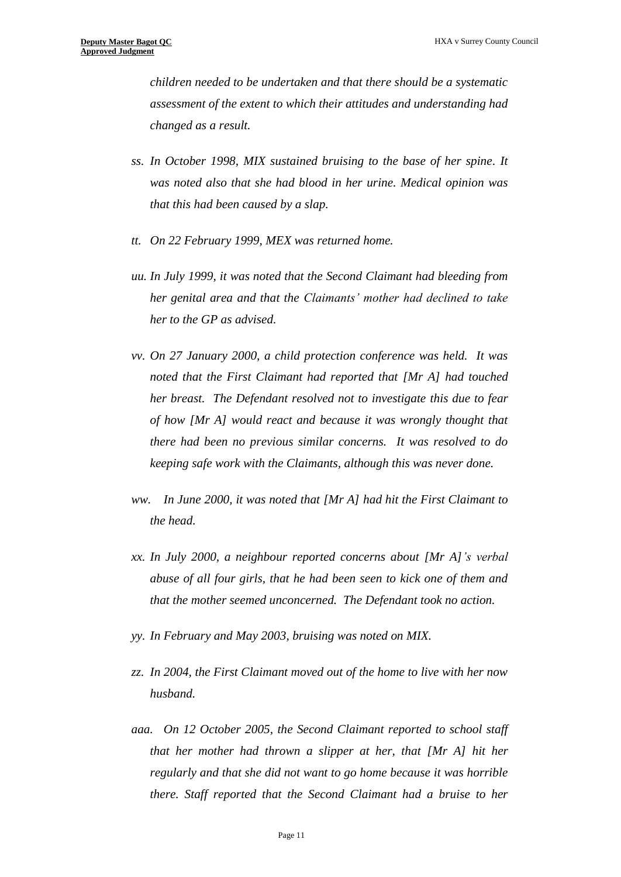*children needed to be undertaken and that there should be a systematic assessment of the extent to which their attitudes and understanding had changed as a result.*

- *ss. In October 1998, MIX sustained bruising to the base of her spine. It was noted also that she had blood in her urine. Medical opinion was that this had been caused by a slap.*
- *tt. On 22 February 1999, MEX was returned home.*
- *uu. In July 1999, it was noted that the Second Claimant had bleeding from her genital area and that the Claimants' mother had declined to take her to the GP as advised.*
- *vv. On 27 January 2000, a child protection conference was held. It was noted that the First Claimant had reported that [Mr A] had touched her breast. The Defendant resolved not to investigate this due to fear of how [Mr A] would react and because it was wrongly thought that there had been no previous similar concerns. It was resolved to do keeping safe work with the Claimants, although this was never done.*
- *ww. In June 2000, it was noted that [Mr A] had hit the First Claimant to the head.*
- *xx. In July 2000, a neighbour reported concerns about [Mr A]'s verbal abuse of all four girls, that he had been seen to kick one of them and that the mother seemed unconcerned. The Defendant took no action.*
- *yy. In February and May 2003, bruising was noted on MIX.*
- *zz. In 2004, the First Claimant moved out of the home to live with her now husband.*
- *aaa. On 12 October 2005, the Second Claimant reported to school staff that her mother had thrown a slipper at her, that [Mr A] hit her regularly and that she did not want to go home because it was horrible there. Staff reported that the Second Claimant had a bruise to her*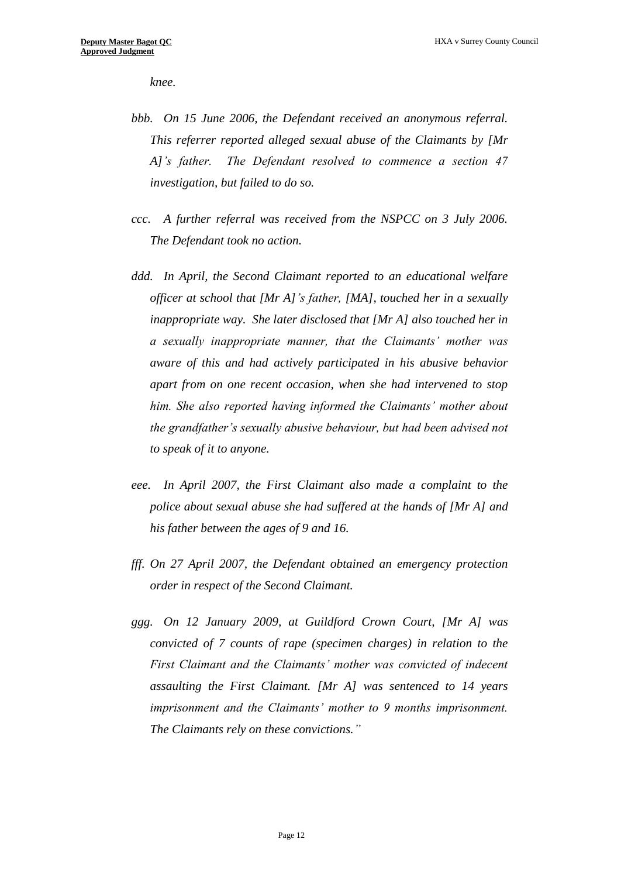*knee.*

- *bbb. On 15 June 2006, the Defendant received an anonymous referral. This referrer reported alleged sexual abuse of the Claimants by [Mr A]'s father. The Defendant resolved to commence a section 47 investigation, but failed to do so.*
- *ccc. A further referral was received from the NSPCC on 3 July 2006. The Defendant took no action.*
- *ddd. In April, the Second Claimant reported to an educational welfare officer at school that [Mr A]'s father, [MA], touched her in a sexually inappropriate way. She later disclosed that [Mr A] also touched her in a sexually inappropriate manner, that the Claimants' mother was aware of this and had actively participated in his abusive behavior apart from on one recent occasion, when she had intervened to stop him. She also reported having informed the Claimants' mother about the grandfather's sexually abusive behaviour, but had been advised not to speak of it to anyone.*
- *eee. In April 2007, the First Claimant also made a complaint to the police about sexual abuse she had suffered at the hands of [Mr A] and his father between the ages of 9 and 16.*
- *fff. On 27 April 2007, the Defendant obtained an emergency protection order in respect of the Second Claimant.*
- *ggg. On 12 January 2009, at Guildford Crown Court, [Mr A] was convicted of 7 counts of rape (specimen charges) in relation to the First Claimant and the Claimants' mother was convicted of indecent assaulting the First Claimant. [Mr A] was sentenced to 14 years imprisonment and the Claimants' mother to 9 months imprisonment. The Claimants rely on these convictions."*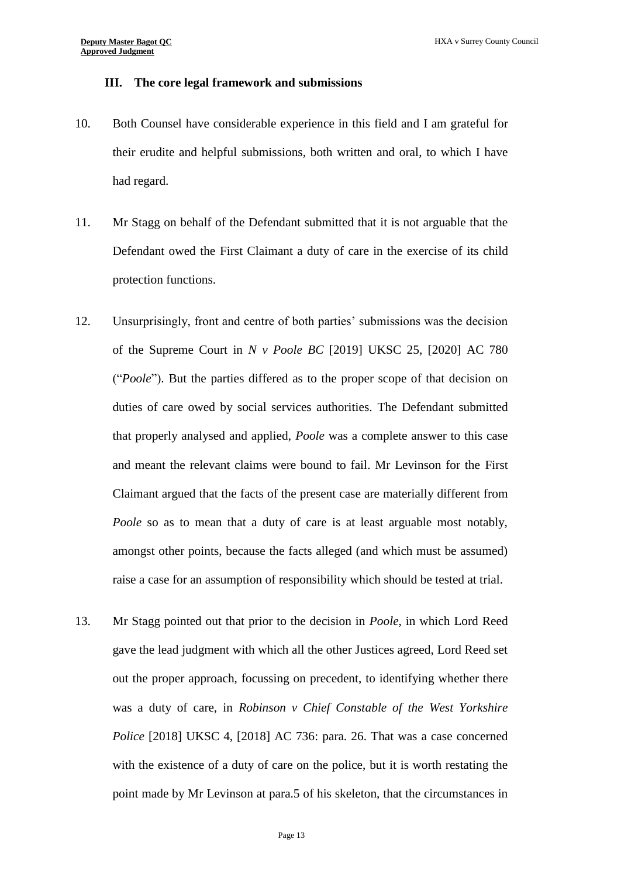## **III. The core legal framework and submissions**

- 10. Both Counsel have considerable experience in this field and I am grateful for their erudite and helpful submissions, both written and oral, to which I have had regard.
- 11. Mr Stagg on behalf of the Defendant submitted that it is not arguable that the Defendant owed the First Claimant a duty of care in the exercise of its child protection functions.
- 12. Unsurprisingly, front and centre of both parties' submissions was the decision of the Supreme Court in *N v Poole BC* [2019] UKSC 25, [2020] AC 780 ("*Poole*"). But the parties differed as to the proper scope of that decision on duties of care owed by social services authorities. The Defendant submitted that properly analysed and applied, *Poole* was a complete answer to this case and meant the relevant claims were bound to fail. Mr Levinson for the First Claimant argued that the facts of the present case are materially different from *Poole* so as to mean that a duty of care is at least arguable most notably, amongst other points, because the facts alleged (and which must be assumed) raise a case for an assumption of responsibility which should be tested at trial.
- 13. Mr Stagg pointed out that prior to the decision in *Poole*, in which Lord Reed gave the lead judgment with which all the other Justices agreed, Lord Reed set out the proper approach, focussing on precedent, to identifying whether there was a duty of care, in *Robinson v Chief Constable of the West Yorkshire Police* [2018] UKSC 4, [2018] AC 736: para. 26. That was a case concerned with the existence of a duty of care on the police, but it is worth restating the point made by Mr Levinson at para.5 of his skeleton, that the circumstances in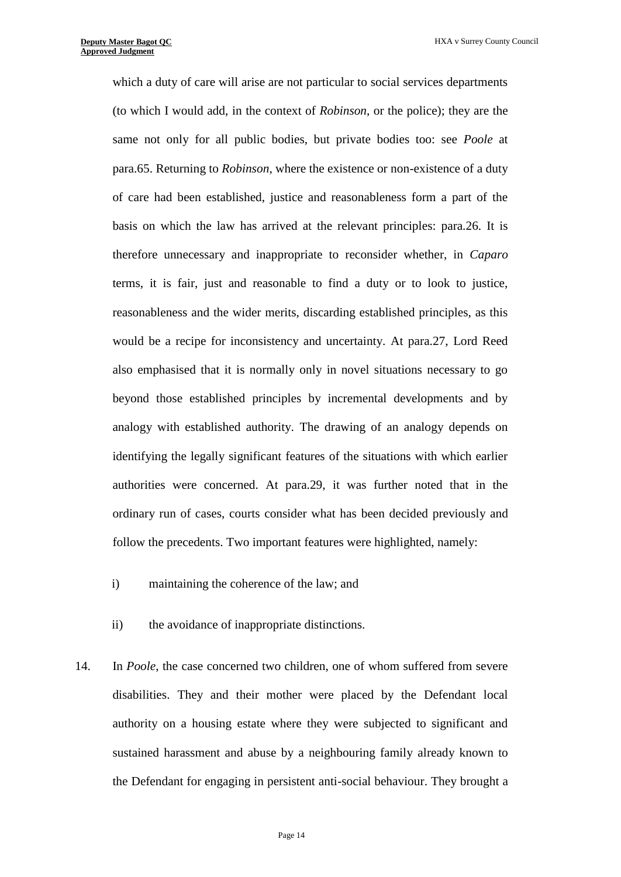which a duty of care will arise are not particular to social services departments (to which I would add, in the context of *Robinson*, or the police); they are the same not only for all public bodies, but private bodies too: see *Poole* at para.65. Returning to *Robinson*, where the existence or non-existence of a duty of care had been established, justice and reasonableness form a part of the basis on which the law has arrived at the relevant principles: para.26. It is therefore unnecessary and inappropriate to reconsider whether, in *Caparo* terms, it is fair, just and reasonable to find a duty or to look to justice, reasonableness and the wider merits, discarding established principles, as this would be a recipe for inconsistency and uncertainty. At para.27, Lord Reed also emphasised that it is normally only in novel situations necessary to go beyond those established principles by incremental developments and by analogy with established authority. The drawing of an analogy depends on identifying the legally significant features of the situations with which earlier authorities were concerned. At para.29, it was further noted that in the ordinary run of cases, courts consider what has been decided previously and follow the precedents. Two important features were highlighted, namely:

- i) maintaining the coherence of the law; and
- ii) the avoidance of inappropriate distinctions.
- 14. In *Poole*, the case concerned two children, one of whom suffered from severe disabilities. They and their mother were placed by the Defendant local authority on a housing estate where they were subjected to significant and sustained harassment and abuse by a neighbouring family already known to the Defendant for engaging in persistent anti-social behaviour. They brought a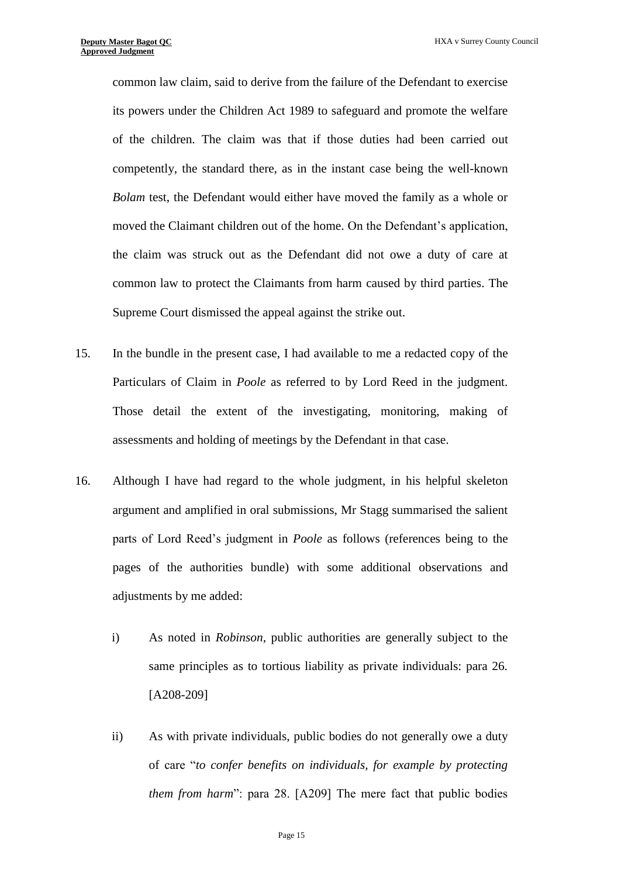common law claim, said to derive from the failure of the Defendant to exercise its powers under the Children Act 1989 to safeguard and promote the welfare of the children. The claim was that if those duties had been carried out competently, the standard there, as in the instant case being the well-known *Bolam* test, the Defendant would either have moved the family as a whole or moved the Claimant children out of the home. On the Defendant's application, the claim was struck out as the Defendant did not owe a duty of care at common law to protect the Claimants from harm caused by third parties. The Supreme Court dismissed the appeal against the strike out.

- 15. In the bundle in the present case, I had available to me a redacted copy of the Particulars of Claim in *Poole* as referred to by Lord Reed in the judgment. Those detail the extent of the investigating, monitoring, making of assessments and holding of meetings by the Defendant in that case.
- 16. Although I have had regard to the whole judgment, in his helpful skeleton argument and amplified in oral submissions, Mr Stagg summarised the salient parts of Lord Reed's judgment in *Poole* as follows (references being to the pages of the authorities bundle) with some additional observations and adjustments by me added:
	- i) As noted in *Robinson,* public authorities are generally subject to the same principles as to tortious liability as private individuals: para 26. [A208-209]
	- ii) As with private individuals, public bodies do not generally owe a duty of care "*to confer benefits on individuals, for example by protecting them from harm*": para 28. [A209] The mere fact that public bodies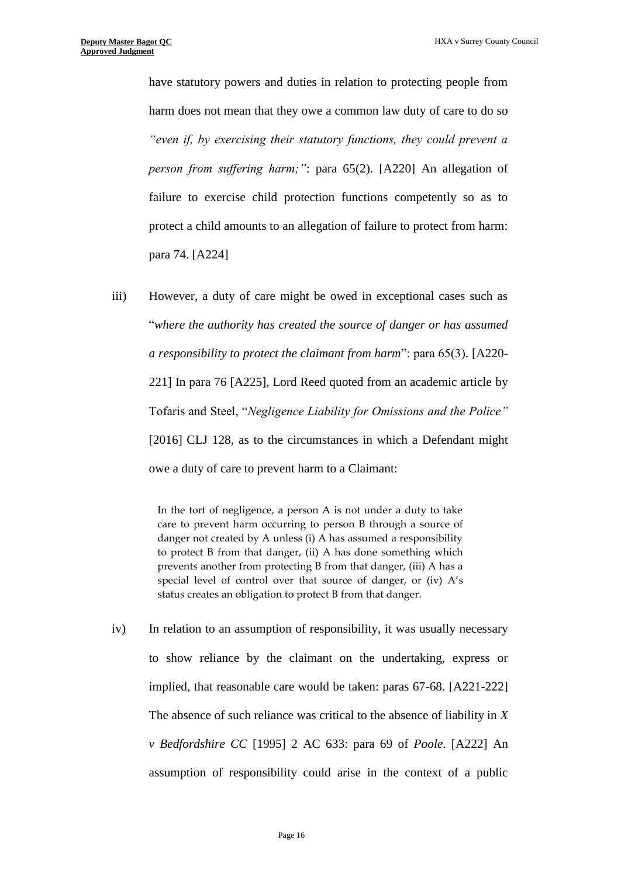have statutory powers and duties in relation to protecting people from harm does not mean that they owe a common law duty of care to do so *"even if, by exercising their statutory functions, they could prevent a person from suffering harm;"*: para 65(2). [A220] An allegation of failure to exercise child protection functions competently so as to protect a child amounts to an allegation of failure to protect from harm: para 74. [A224]

iii) However, a duty of care might be owed in exceptional cases such as "*where the authority has created the source of danger or has assumed a responsibility to protect the claimant from harm*": para 65(3). [A220- 221] In para 76 [A225], Lord Reed quoted from an academic article by Tofaris and Steel, "*Negligence Liability for Omissions and the Police"*  [2016] CLJ 128, as to the circumstances in which a Defendant might owe a duty of care to prevent harm to a Claimant:

> In the tort of negligence, a person A is not under a duty to take care to prevent harm occurring to person B through a source of danger not created by A unless (i) A has assumed a responsibility to protect B from that danger, (ii) A has done something which prevents another from protecting B from that danger, (iii) A has a special level of control over that source of danger, or (iv) A's status creates an obligation to protect B from that danger.

iv) In relation to an assumption of responsibility, it was usually necessary to show reliance by the claimant on the undertaking, express or implied, that reasonable care would be taken: paras 67-68. [A221-222] The absence of such reliance was critical to the absence of liability in *X v Bedfordshire CC* [1995] 2 AC 633: para 69 of *Poole*. [A222] An assumption of responsibility could arise in the context of a public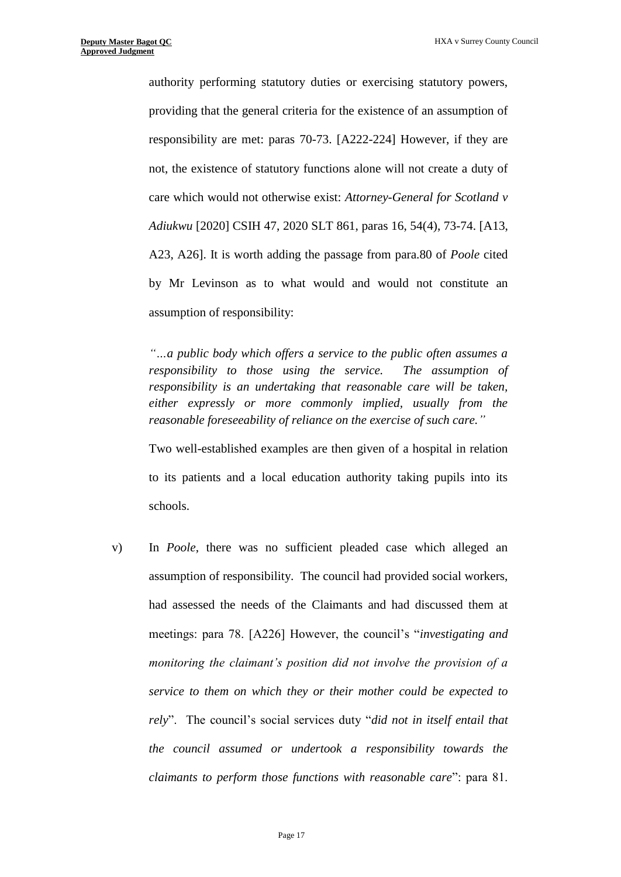authority performing statutory duties or exercising statutory powers, providing that the general criteria for the existence of an assumption of responsibility are met: paras 70-73. [A222-224] However, if they are not, the existence of statutory functions alone will not create a duty of care which would not otherwise exist: *Attorney-General for Scotland v Adiukwu* [2020] CSIH 47, 2020 SLT 861, paras 16, 54(4), 73-74. [A13, A23, A26]. It is worth adding the passage from para.80 of *Poole* cited by Mr Levinson as to what would and would not constitute an assumption of responsibility:

*"…a public body which offers a service to the public often assumes a responsibility to those using the service. The assumption of responsibility is an undertaking that reasonable care will be taken, either expressly or more commonly implied, usually from the reasonable foreseeability of reliance on the exercise of such care."*

Two well-established examples are then given of a hospital in relation to its patients and a local education authority taking pupils into its schools.

v) In *Poole*, there was no sufficient pleaded case which alleged an assumption of responsibility. The council had provided social workers, had assessed the needs of the Claimants and had discussed them at meetings: para 78. [A226] However, the council's "*investigating and monitoring the claimant's position did not involve the provision of a service to them on which they or their mother could be expected to rely*". The council's social services duty "*did not in itself entail that the council assumed or undertook a responsibility towards the claimants to perform those functions with reasonable care*": para 81.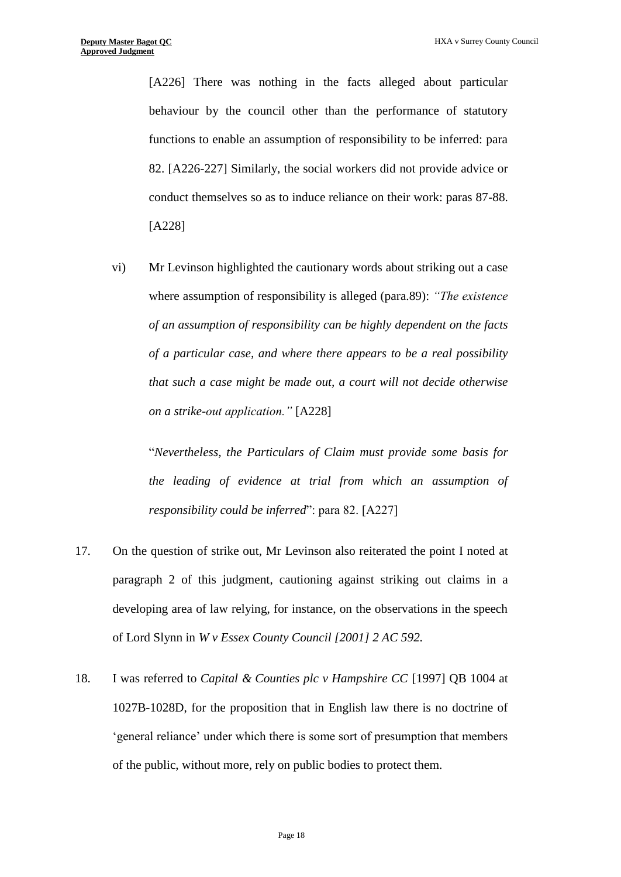[A226] There was nothing in the facts alleged about particular behaviour by the council other than the performance of statutory functions to enable an assumption of responsibility to be inferred: para 82. [A226-227] Similarly, the social workers did not provide advice or conduct themselves so as to induce reliance on their work: paras 87-88. [A228]

vi) Mr Levinson highlighted the cautionary words about striking out a case where assumption of responsibility is alleged (para.89): *"The existence of an assumption of responsibility can be highly dependent on the facts of a particular case, and where there appears to be a real possibility that such a case might be made out, a court will not decide otherwise on a strike-out application."* [A228]

"*Nevertheless, the Particulars of Claim must provide some basis for the leading of evidence at trial from which an assumption of responsibility could be inferred*": para 82. [A227]

- 17. On the question of strike out, Mr Levinson also reiterated the point I noted at paragraph 2 of this judgment, cautioning against striking out claims in a developing area of law relying, for instance, on the observations in the speech of Lord Slynn in *W v Essex County Council [2001] 2 AC 592.*
- 18. I was referred to *Capital & Counties plc v Hampshire CC* [1997] QB 1004 at 1027B-1028D, for the proposition that in English law there is no doctrine of 'general reliance' under which there is some sort of presumption that members of the public, without more, rely on public bodies to protect them.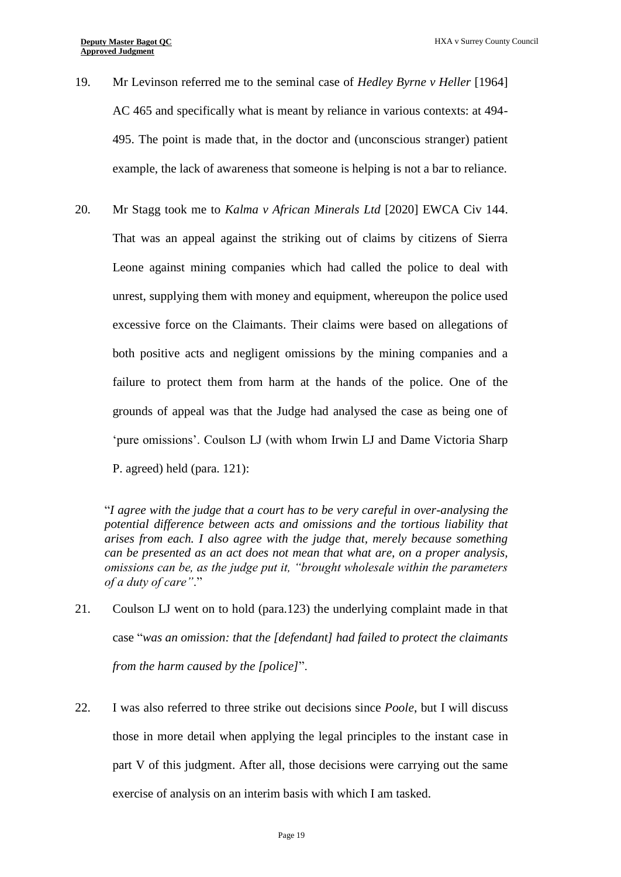- 19. Mr Levinson referred me to the seminal case of *Hedley Byrne v Heller* [1964] AC 465 and specifically what is meant by reliance in various contexts: at 494- 495. The point is made that, in the doctor and (unconscious stranger) patient example, the lack of awareness that someone is helping is not a bar to reliance.
- 20. Mr Stagg took me to *Kalma v African Minerals Ltd* [2020] EWCA Civ 144. That was an appeal against the striking out of claims by citizens of Sierra Leone against mining companies which had called the police to deal with unrest, supplying them with money and equipment, whereupon the police used excessive force on the Claimants. Their claims were based on allegations of both positive acts and negligent omissions by the mining companies and a failure to protect them from harm at the hands of the police. One of the grounds of appeal was that the Judge had analysed the case as being one of 'pure omissions'. Coulson LJ (with whom Irwin LJ and Dame Victoria Sharp P. agreed) held (para. 121):

"*I agree with the judge that a court has to be very careful in over-analysing the potential difference between acts and omissions and the tortious liability that arises from each. I also agree with the judge that, merely because something can be presented as an act does not mean that what are, on a proper analysis, omissions can be, as the judge put it, "brought wholesale within the parameters of a duty of care"*."

- 21. Coulson LJ went on to hold (para.123) the underlying complaint made in that case "*was an omission: that the [defendant] had failed to protect the claimants from the harm caused by the [police]*".
- 22. I was also referred to three strike out decisions since *Poole*, but I will discuss those in more detail when applying the legal principles to the instant case in part V of this judgment. After all, those decisions were carrying out the same exercise of analysis on an interim basis with which I am tasked.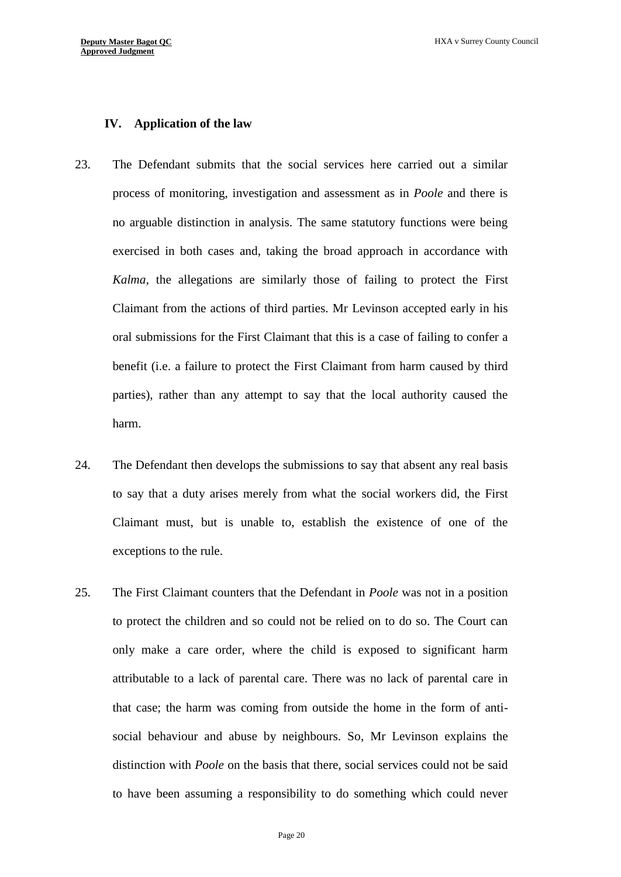## **IV. Application of the law**

- 23. The Defendant submits that the social services here carried out a similar process of monitoring, investigation and assessment as in *Poole* and there is no arguable distinction in analysis. The same statutory functions were being exercised in both cases and, taking the broad approach in accordance with *Kalma,* the allegations are similarly those of failing to protect the First Claimant from the actions of third parties. Mr Levinson accepted early in his oral submissions for the First Claimant that this is a case of failing to confer a benefit (i.e. a failure to protect the First Claimant from harm caused by third parties), rather than any attempt to say that the local authority caused the harm.
- 24. The Defendant then develops the submissions to say that absent any real basis to say that a duty arises merely from what the social workers did, the First Claimant must, but is unable to, establish the existence of one of the exceptions to the rule.
- 25. The First Claimant counters that the Defendant in *Poole* was not in a position to protect the children and so could not be relied on to do so. The Court can only make a care order, where the child is exposed to significant harm attributable to a lack of parental care. There was no lack of parental care in that case; the harm was coming from outside the home in the form of antisocial behaviour and abuse by neighbours. So, Mr Levinson explains the distinction with *Poole* on the basis that there, social services could not be said to have been assuming a responsibility to do something which could never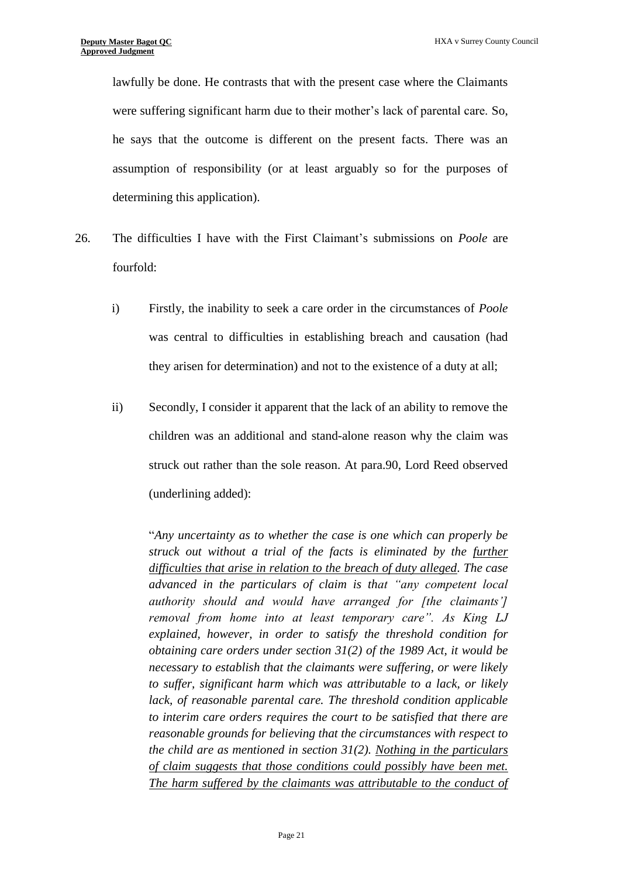lawfully be done. He contrasts that with the present case where the Claimants were suffering significant harm due to their mother's lack of parental care. So, he says that the outcome is different on the present facts. There was an assumption of responsibility (or at least arguably so for the purposes of determining this application).

- 26. The difficulties I have with the First Claimant's submissions on *Poole* are fourfold:
	- i) Firstly, the inability to seek a care order in the circumstances of *Poole* was central to difficulties in establishing breach and causation (had they arisen for determination) and not to the existence of a duty at all;
	- ii) Secondly, I consider it apparent that the lack of an ability to remove the children was an additional and stand-alone reason why the claim was struck out rather than the sole reason. At para.90, Lord Reed observed (underlining added):

"*Any uncertainty as to whether the case is one which can properly be struck out without a trial of the facts is eliminated by the further difficulties that arise in relation to the breach of duty alleged. The case advanced in the particulars of claim is that "any competent local authority should and would have arranged for [the claimants'] removal from home into at least temporary care". As King LJ explained, however, in order to satisfy the threshold condition for obtaining care orders under section 31(2) of the 1989 Act, it would be necessary to establish that the claimants were suffering, or were likely to suffer, significant harm which was attributable to a lack, or likely lack, of reasonable parental care. The threshold condition applicable to interim care orders requires the court to be satisfied that there are reasonable grounds for believing that the circumstances with respect to the child are as mentioned in section 31(2). Nothing in the particulars of claim suggests that those conditions could possibly have been met. The harm suffered by the claimants was attributable to the conduct of*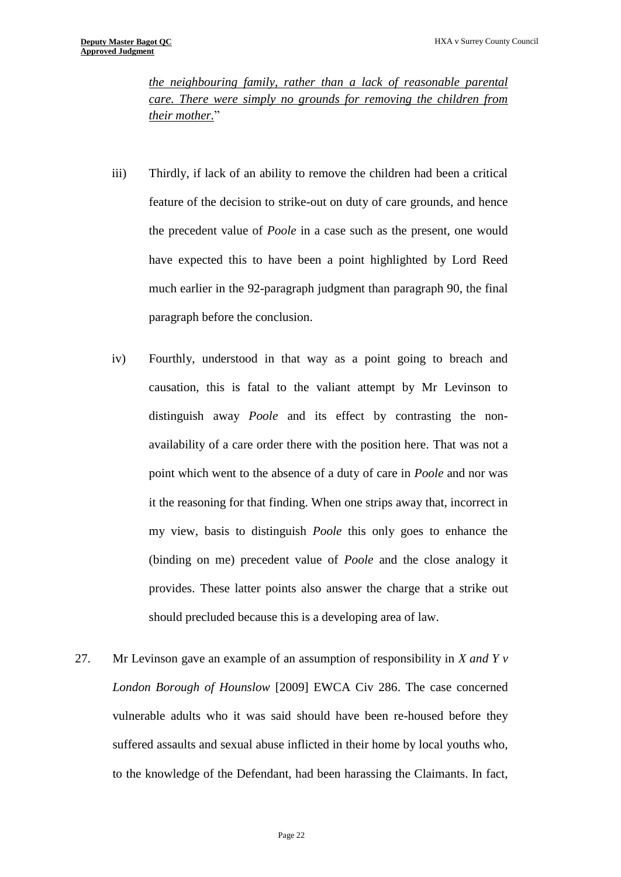*the neighbouring family, rather than a lack of reasonable parental care. There were simply no grounds for removing the children from their mother.*"

- iii) Thirdly, if lack of an ability to remove the children had been a critical feature of the decision to strike-out on duty of care grounds, and hence the precedent value of *Poole* in a case such as the present, one would have expected this to have been a point highlighted by Lord Reed much earlier in the 92-paragraph judgment than paragraph 90, the final paragraph before the conclusion.
- iv) Fourthly, understood in that way as a point going to breach and causation, this is fatal to the valiant attempt by Mr Levinson to distinguish away *Poole* and its effect by contrasting the nonavailability of a care order there with the position here. That was not a point which went to the absence of a duty of care in *Poole* and nor was it the reasoning for that finding. When one strips away that, incorrect in my view, basis to distinguish *Poole* this only goes to enhance the (binding on me) precedent value of *Poole* and the close analogy it provides. These latter points also answer the charge that a strike out should precluded because this is a developing area of law.
- 27. Mr Levinson gave an example of an assumption of responsibility in *X and Y v London Borough of Hounslow* [2009] EWCA Civ 286. The case concerned vulnerable adults who it was said should have been re-housed before they suffered assaults and sexual abuse inflicted in their home by local youths who, to the knowledge of the Defendant, had been harassing the Claimants. In fact,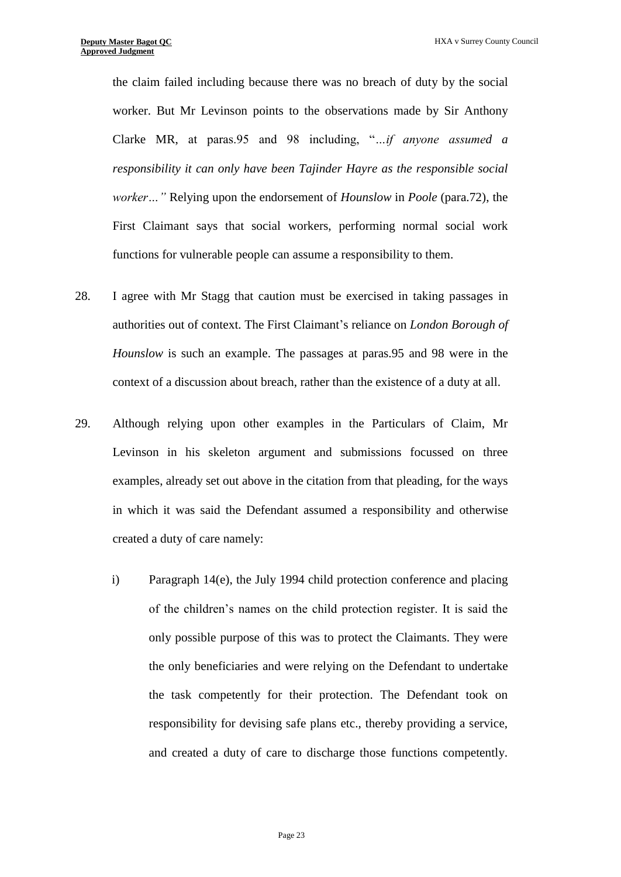the claim failed including because there was no breach of duty by the social worker. But Mr Levinson points to the observations made by Sir Anthony Clarke MR, at paras.95 and 98 including, "*…if anyone assumed a responsibility it can only have been Tajinder Hayre as the responsible social worker…"* Relying upon the endorsement of *Hounslow* in *Poole* (para.72), the First Claimant says that social workers, performing normal social work functions for vulnerable people can assume a responsibility to them.

- 28. I agree with Mr Stagg that caution must be exercised in taking passages in authorities out of context. The First Claimant's reliance on *London Borough of Hounslow* is such an example. The passages at paras.95 and 98 were in the context of a discussion about breach, rather than the existence of a duty at all.
- 29. Although relying upon other examples in the Particulars of Claim, Mr Levinson in his skeleton argument and submissions focussed on three examples, already set out above in the citation from that pleading, for the ways in which it was said the Defendant assumed a responsibility and otherwise created a duty of care namely:
	- i) Paragraph 14(e), the July 1994 child protection conference and placing of the children's names on the child protection register. It is said the only possible purpose of this was to protect the Claimants. They were the only beneficiaries and were relying on the Defendant to undertake the task competently for their protection. The Defendant took on responsibility for devising safe plans etc., thereby providing a service, and created a duty of care to discharge those functions competently.

Page 23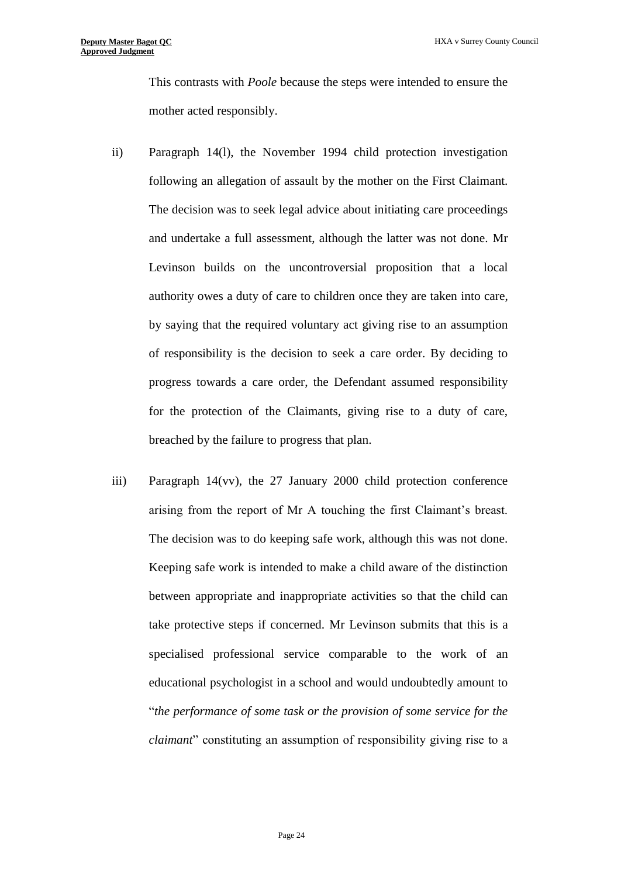This contrasts with *Poole* because the steps were intended to ensure the mother acted responsibly.

- ii) Paragraph 14(l), the November 1994 child protection investigation following an allegation of assault by the mother on the First Claimant. The decision was to seek legal advice about initiating care proceedings and undertake a full assessment, although the latter was not done. Mr Levinson builds on the uncontroversial proposition that a local authority owes a duty of care to children once they are taken into care, by saying that the required voluntary act giving rise to an assumption of responsibility is the decision to seek a care order. By deciding to progress towards a care order, the Defendant assumed responsibility for the protection of the Claimants, giving rise to a duty of care, breached by the failure to progress that plan.
- iii) Paragraph 14(vv), the 27 January 2000 child protection conference arising from the report of Mr A touching the first Claimant's breast. The decision was to do keeping safe work, although this was not done. Keeping safe work is intended to make a child aware of the distinction between appropriate and inappropriate activities so that the child can take protective steps if concerned. Mr Levinson submits that this is a specialised professional service comparable to the work of an educational psychologist in a school and would undoubtedly amount to "*the performance of some task or the provision of some service for the claimant*" constituting an assumption of responsibility giving rise to a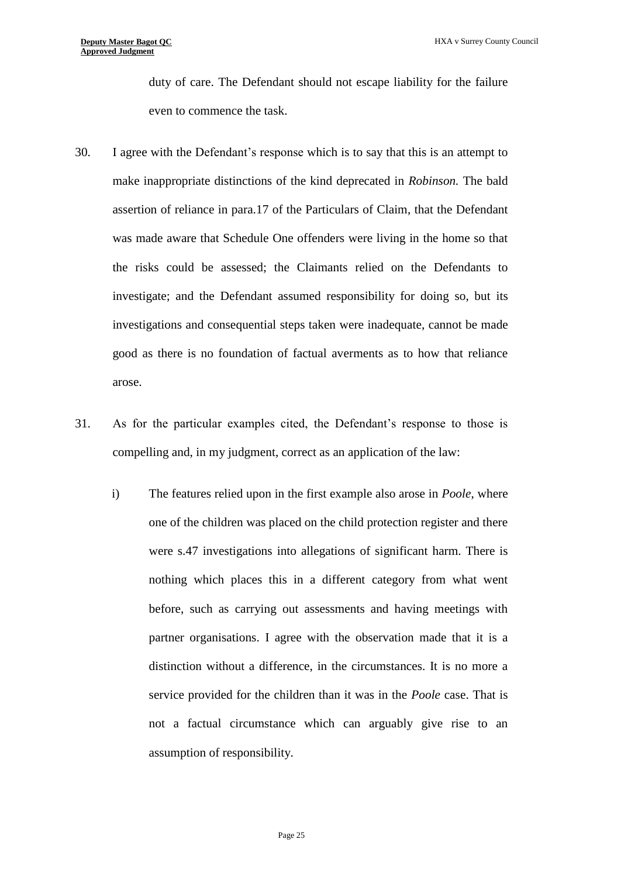duty of care. The Defendant should not escape liability for the failure even to commence the task.

- 30. I agree with the Defendant's response which is to say that this is an attempt to make inappropriate distinctions of the kind deprecated in *Robinson.* The bald assertion of reliance in para.17 of the Particulars of Claim, that the Defendant was made aware that Schedule One offenders were living in the home so that the risks could be assessed; the Claimants relied on the Defendants to investigate; and the Defendant assumed responsibility for doing so, but its investigations and consequential steps taken were inadequate, cannot be made good as there is no foundation of factual averments as to how that reliance arose.
- 31. As for the particular examples cited, the Defendant's response to those is compelling and, in my judgment, correct as an application of the law:
	- i) The features relied upon in the first example also arose in *Poole*, where one of the children was placed on the child protection register and there were s.47 investigations into allegations of significant harm. There is nothing which places this in a different category from what went before, such as carrying out assessments and having meetings with partner organisations. I agree with the observation made that it is a distinction without a difference, in the circumstances. It is no more a service provided for the children than it was in the *Poole* case. That is not a factual circumstance which can arguably give rise to an assumption of responsibility.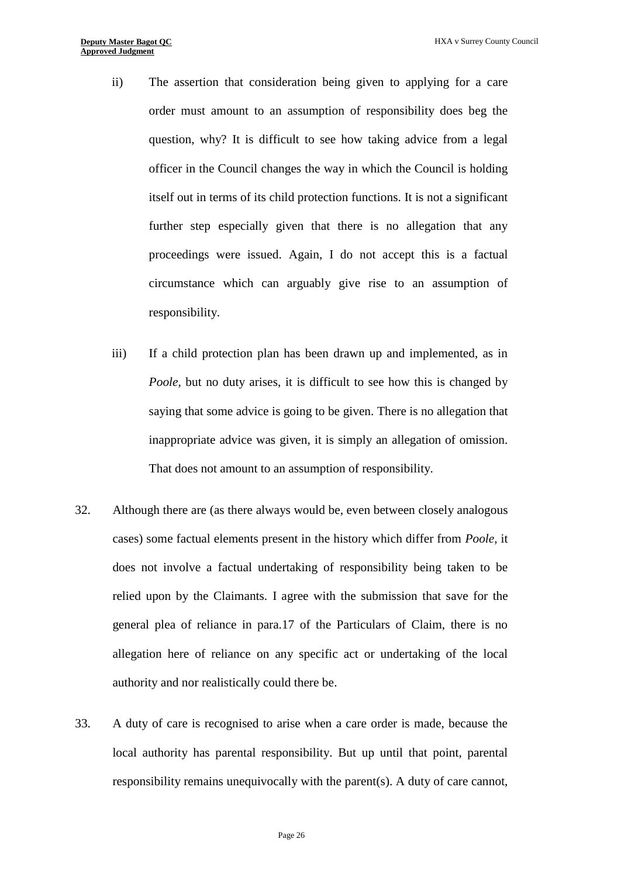- ii) The assertion that consideration being given to applying for a care order must amount to an assumption of responsibility does beg the question, why? It is difficult to see how taking advice from a legal officer in the Council changes the way in which the Council is holding itself out in terms of its child protection functions. It is not a significant further step especially given that there is no allegation that any proceedings were issued. Again, I do not accept this is a factual circumstance which can arguably give rise to an assumption of responsibility.
- iii) If a child protection plan has been drawn up and implemented, as in *Poole*, but no duty arises, it is difficult to see how this is changed by saying that some advice is going to be given. There is no allegation that inappropriate advice was given, it is simply an allegation of omission. That does not amount to an assumption of responsibility.
- 32. Although there are (as there always would be, even between closely analogous cases) some factual elements present in the history which differ from *Poole,* it does not involve a factual undertaking of responsibility being taken to be relied upon by the Claimants. I agree with the submission that save for the general plea of reliance in para.17 of the Particulars of Claim, there is no allegation here of reliance on any specific act or undertaking of the local authority and nor realistically could there be.
- 33. A duty of care is recognised to arise when a care order is made, because the local authority has parental responsibility. But up until that point, parental responsibility remains unequivocally with the parent(s). A duty of care cannot,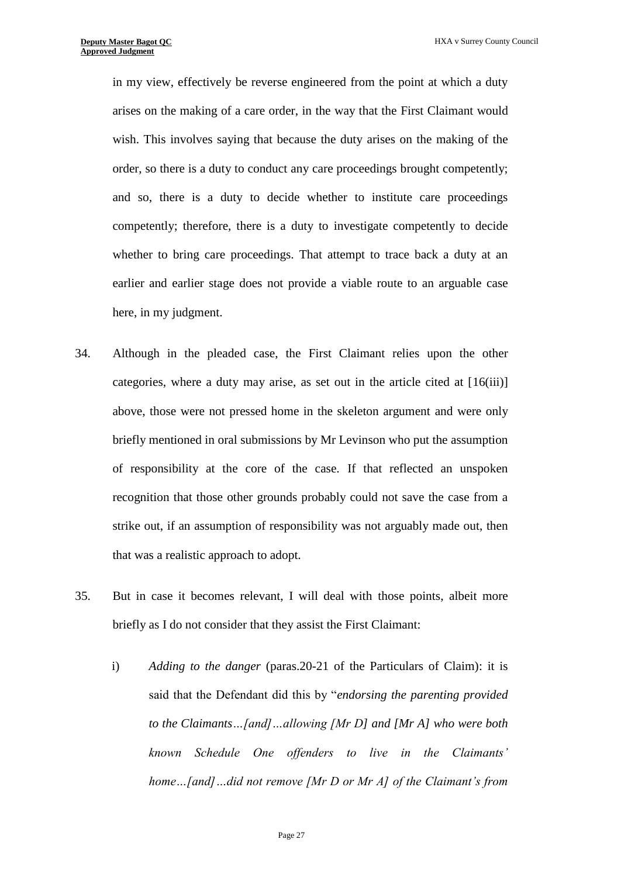in my view, effectively be reverse engineered from the point at which a duty arises on the making of a care order, in the way that the First Claimant would wish. This involves saying that because the duty arises on the making of the order, so there is a duty to conduct any care proceedings brought competently; and so, there is a duty to decide whether to institute care proceedings competently; therefore, there is a duty to investigate competently to decide whether to bring care proceedings. That attempt to trace back a duty at an earlier and earlier stage does not provide a viable route to an arguable case here, in my judgment.

- 34. Although in the pleaded case, the First Claimant relies upon the other categories, where a duty may arise, as set out in the article cited at [16(iii)] above, those were not pressed home in the skeleton argument and were only briefly mentioned in oral submissions by Mr Levinson who put the assumption of responsibility at the core of the case. If that reflected an unspoken recognition that those other grounds probably could not save the case from a strike out, if an assumption of responsibility was not arguably made out, then that was a realistic approach to adopt.
- 35. But in case it becomes relevant, I will deal with those points, albeit more briefly as I do not consider that they assist the First Claimant:
	- i) *Adding to the danger* (paras.20-21 of the Particulars of Claim): it is said that the Defendant did this by "*endorsing the parenting provided to the Claimants…[and]…allowing [Mr D] and [Mr A] who were both known Schedule One offenders to live in the Claimants' home…[and]…did not remove [Mr D or Mr A] of the Claimant's from*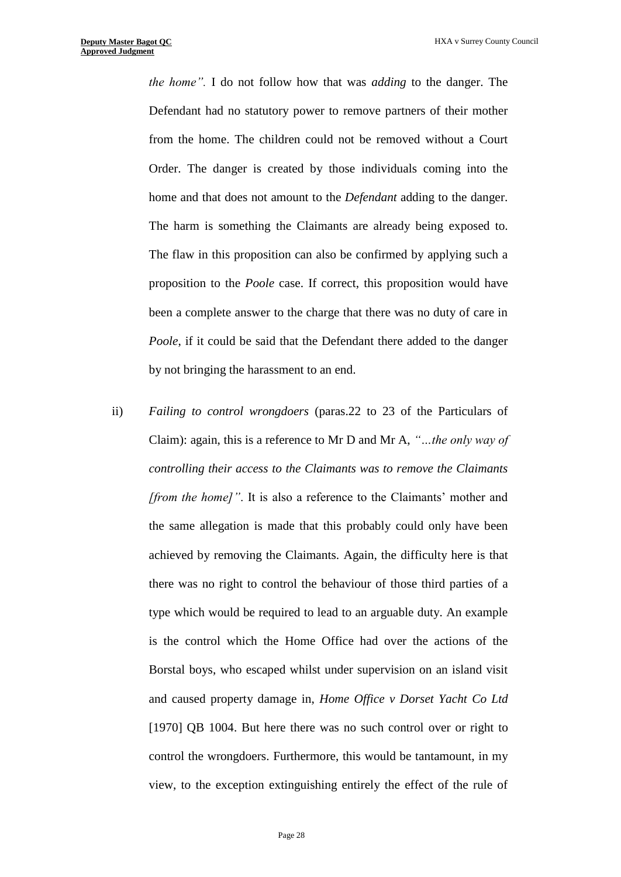*the home".* I do not follow how that was *adding* to the danger. The Defendant had no statutory power to remove partners of their mother from the home. The children could not be removed without a Court Order. The danger is created by those individuals coming into the home and that does not amount to the *Defendant* adding to the danger. The harm is something the Claimants are already being exposed to. The flaw in this proposition can also be confirmed by applying such a proposition to the *Poole* case. If correct, this proposition would have been a complete answer to the charge that there was no duty of care in *Poole*, if it could be said that the Defendant there added to the danger by not bringing the harassment to an end.

ii) *Failing to control wrongdoers* (paras.22 to 23 of the Particulars of Claim): again, this is a reference to Mr D and Mr A, *"…the only way of controlling their access to the Claimants was to remove the Claimants [from the home]"*. It is also a reference to the Claimants' mother and the same allegation is made that this probably could only have been achieved by removing the Claimants. Again, the difficulty here is that there was no right to control the behaviour of those third parties of a type which would be required to lead to an arguable duty. An example is the control which the Home Office had over the actions of the Borstal boys, who escaped whilst under supervision on an island visit and caused property damage in, *Home Office v Dorset Yacht Co Ltd*  [1970] QB 1004. But here there was no such control over or right to control the wrongdoers. Furthermore, this would be tantamount, in my view, to the exception extinguishing entirely the effect of the rule of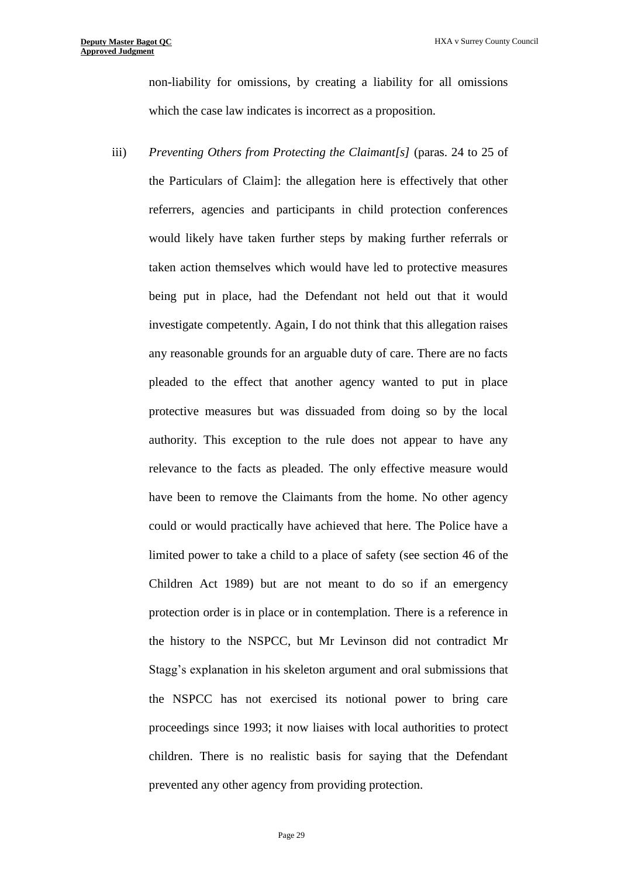non-liability for omissions, by creating a liability for all omissions which the case law indicates is incorrect as a proposition.

iii) *Preventing Others from Protecting the Claimant[s]* (paras. 24 to 25 of the Particulars of Claim]: the allegation here is effectively that other referrers, agencies and participants in child protection conferences would likely have taken further steps by making further referrals or taken action themselves which would have led to protective measures being put in place, had the Defendant not held out that it would investigate competently. Again, I do not think that this allegation raises any reasonable grounds for an arguable duty of care. There are no facts pleaded to the effect that another agency wanted to put in place protective measures but was dissuaded from doing so by the local authority. This exception to the rule does not appear to have any relevance to the facts as pleaded. The only effective measure would have been to remove the Claimants from the home. No other agency could or would practically have achieved that here. The Police have a limited power to take a child to a place of safety (see section 46 of the Children Act 1989) but are not meant to do so if an emergency protection order is in place or in contemplation. There is a reference in the history to the NSPCC, but Mr Levinson did not contradict Mr Stagg's explanation in his skeleton argument and oral submissions that the NSPCC has not exercised its notional power to bring care proceedings since 1993; it now liaises with local authorities to protect children. There is no realistic basis for saying that the Defendant prevented any other agency from providing protection.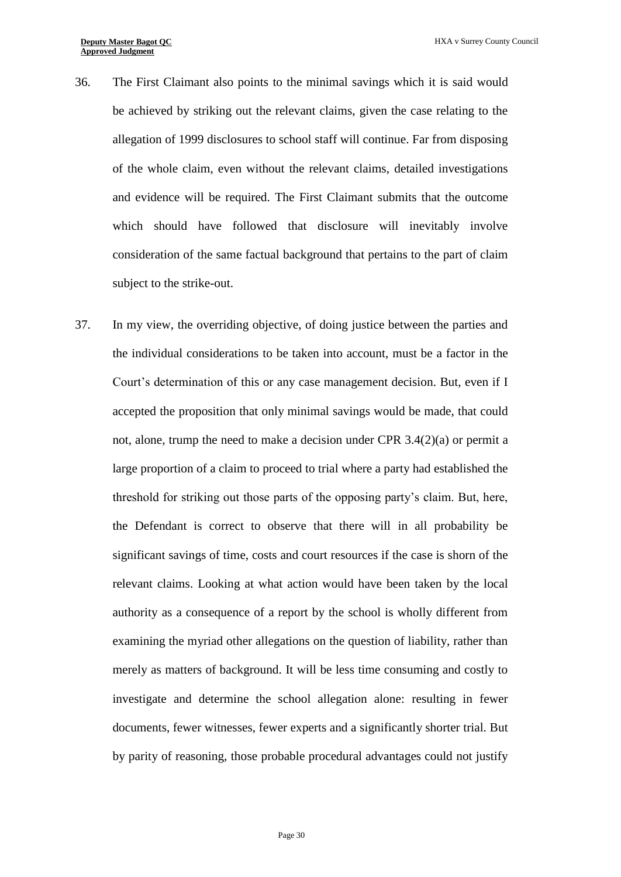- 36. The First Claimant also points to the minimal savings which it is said would be achieved by striking out the relevant claims, given the case relating to the allegation of 1999 disclosures to school staff will continue. Far from disposing of the whole claim, even without the relevant claims, detailed investigations and evidence will be required. The First Claimant submits that the outcome which should have followed that disclosure will inevitably involve consideration of the same factual background that pertains to the part of claim subject to the strike-out.
- 37. In my view, the overriding objective, of doing justice between the parties and the individual considerations to be taken into account, must be a factor in the Court's determination of this or any case management decision. But, even if I accepted the proposition that only minimal savings would be made, that could not, alone, trump the need to make a decision under CPR 3.4(2)(a) or permit a large proportion of a claim to proceed to trial where a party had established the threshold for striking out those parts of the opposing party's claim. But, here, the Defendant is correct to observe that there will in all probability be significant savings of time, costs and court resources if the case is shorn of the relevant claims. Looking at what action would have been taken by the local authority as a consequence of a report by the school is wholly different from examining the myriad other allegations on the question of liability, rather than merely as matters of background. It will be less time consuming and costly to investigate and determine the school allegation alone: resulting in fewer documents, fewer witnesses, fewer experts and a significantly shorter trial. But by parity of reasoning, those probable procedural advantages could not justify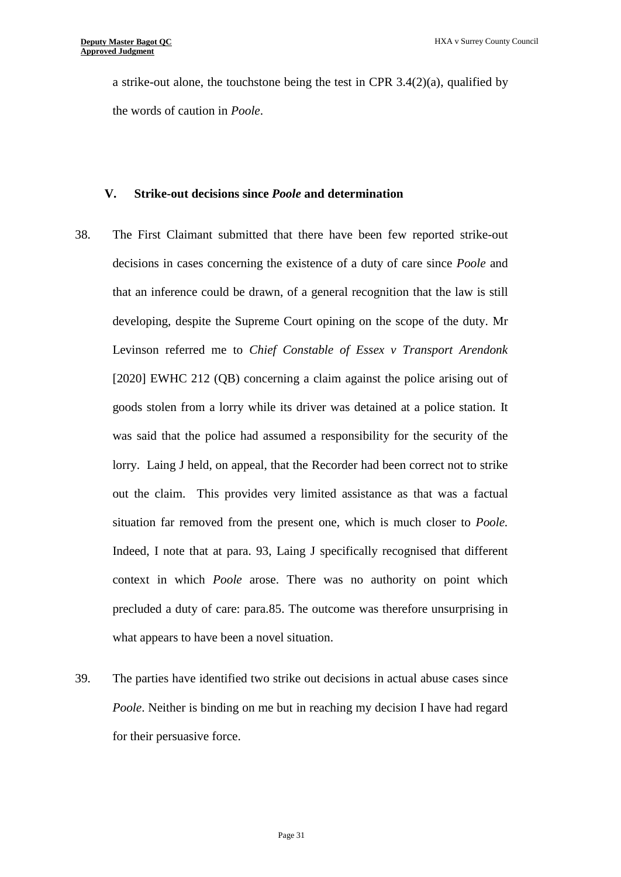a strike-out alone, the touchstone being the test in CPR 3.4(2)(a), qualified by the words of caution in *Poole*.

#### **V. Strike-out decisions since** *Poole* **and determination**

- 38. The First Claimant submitted that there have been few reported strike-out decisions in cases concerning the existence of a duty of care since *Poole* and that an inference could be drawn, of a general recognition that the law is still developing, despite the Supreme Court opining on the scope of the duty. Mr Levinson referred me to *Chief Constable of Essex v Transport Arendonk*  [2020] EWHC 212 (QB) concerning a claim against the police arising out of goods stolen from a lorry while its driver was detained at a police station. It was said that the police had assumed a responsibility for the security of the lorry. Laing J held, on appeal, that the Recorder had been correct not to strike out the claim. This provides very limited assistance as that was a factual situation far removed from the present one, which is much closer to *Poole.*  Indeed, I note that at para. 93, Laing J specifically recognised that different context in which *Poole* arose. There was no authority on point which precluded a duty of care: para.85. The outcome was therefore unsurprising in what appears to have been a novel situation.
- 39. The parties have identified two strike out decisions in actual abuse cases since *Poole*. Neither is binding on me but in reaching my decision I have had regard for their persuasive force.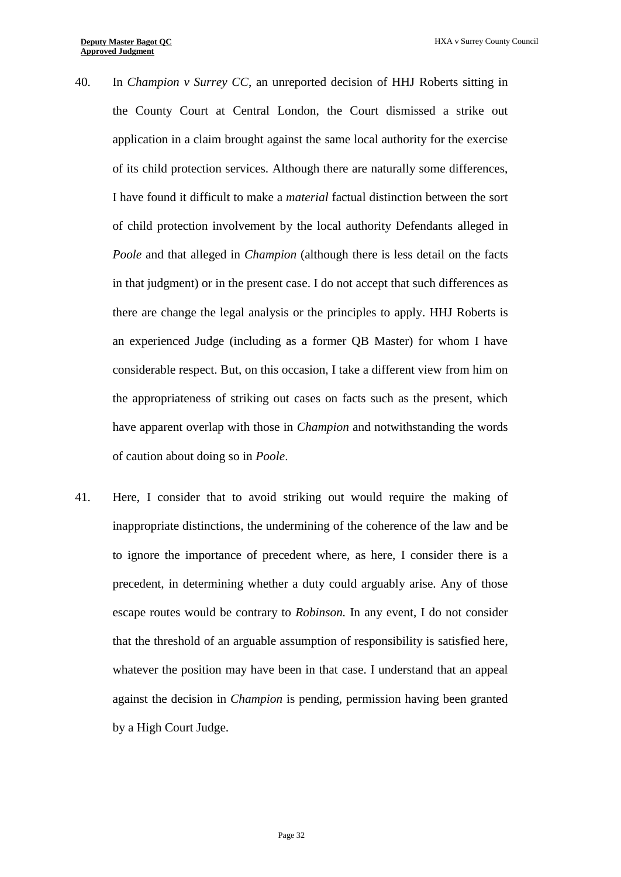- 40. In *Champion v Surrey CC*, an unreported decision of HHJ Roberts sitting in the County Court at Central London, the Court dismissed a strike out application in a claim brought against the same local authority for the exercise of its child protection services. Although there are naturally some differences, I have found it difficult to make a *material* factual distinction between the sort of child protection involvement by the local authority Defendants alleged in *Poole* and that alleged in *Champion* (although there is less detail on the facts in that judgment) or in the present case. I do not accept that such differences as there are change the legal analysis or the principles to apply. HHJ Roberts is an experienced Judge (including as a former QB Master) for whom I have considerable respect. But, on this occasion, I take a different view from him on the appropriateness of striking out cases on facts such as the present, which have apparent overlap with those in *Champion* and notwithstanding the words of caution about doing so in *Poole*.
- 41. Here, I consider that to avoid striking out would require the making of inappropriate distinctions, the undermining of the coherence of the law and be to ignore the importance of precedent where, as here, I consider there is a precedent, in determining whether a duty could arguably arise. Any of those escape routes would be contrary to *Robinson.* In any event, I do not consider that the threshold of an arguable assumption of responsibility is satisfied here, whatever the position may have been in that case. I understand that an appeal against the decision in *Champion* is pending, permission having been granted by a High Court Judge.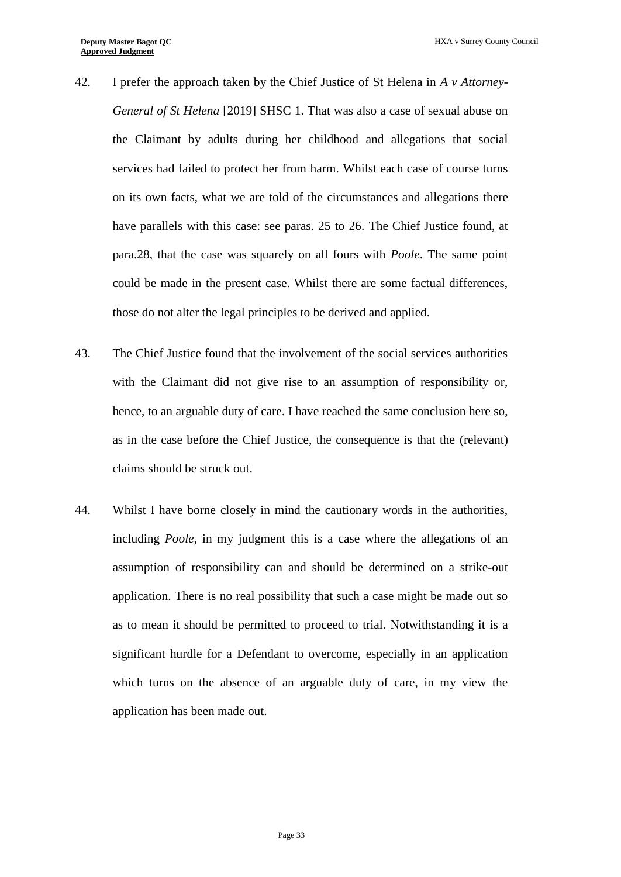- 42. I prefer the approach taken by the Chief Justice of St Helena in *A v Attorney-General of St Helena* [2019] SHSC 1. That was also a case of sexual abuse on the Claimant by adults during her childhood and allegations that social services had failed to protect her from harm. Whilst each case of course turns on its own facts, what we are told of the circumstances and allegations there have parallels with this case: see paras. 25 to 26. The Chief Justice found, at para.28, that the case was squarely on all fours with *Poole*. The same point could be made in the present case. Whilst there are some factual differences, those do not alter the legal principles to be derived and applied.
- 43. The Chief Justice found that the involvement of the social services authorities with the Claimant did not give rise to an assumption of responsibility or, hence, to an arguable duty of care. I have reached the same conclusion here so, as in the case before the Chief Justice, the consequence is that the (relevant) claims should be struck out.
- 44. Whilst I have borne closely in mind the cautionary words in the authorities, including *Poole*, in my judgment this is a case where the allegations of an assumption of responsibility can and should be determined on a strike-out application. There is no real possibility that such a case might be made out so as to mean it should be permitted to proceed to trial. Notwithstanding it is a significant hurdle for a Defendant to overcome, especially in an application which turns on the absence of an arguable duty of care, in my view the application has been made out.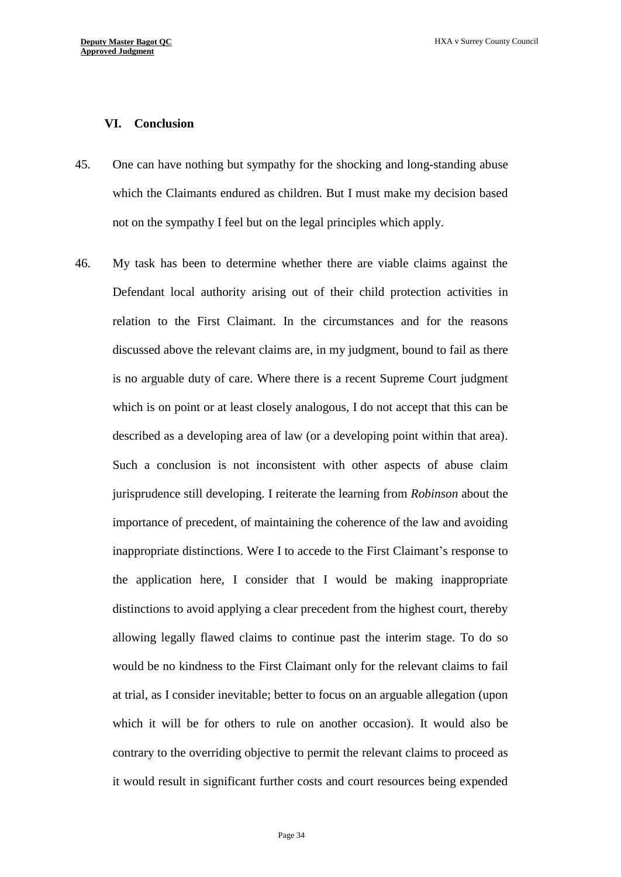## **VI. Conclusion**

- 45. One can have nothing but sympathy for the shocking and long-standing abuse which the Claimants endured as children. But I must make my decision based not on the sympathy I feel but on the legal principles which apply.
- 46. My task has been to determine whether there are viable claims against the Defendant local authority arising out of their child protection activities in relation to the First Claimant. In the circumstances and for the reasons discussed above the relevant claims are, in my judgment, bound to fail as there is no arguable duty of care. Where there is a recent Supreme Court judgment which is on point or at least closely analogous, I do not accept that this can be described as a developing area of law (or a developing point within that area). Such a conclusion is not inconsistent with other aspects of abuse claim jurisprudence still developing. I reiterate the learning from *Robinson* about the importance of precedent, of maintaining the coherence of the law and avoiding inappropriate distinctions. Were I to accede to the First Claimant's response to the application here, I consider that I would be making inappropriate distinctions to avoid applying a clear precedent from the highest court, thereby allowing legally flawed claims to continue past the interim stage. To do so would be no kindness to the First Claimant only for the relevant claims to fail at trial, as I consider inevitable; better to focus on an arguable allegation (upon which it will be for others to rule on another occasion). It would also be contrary to the overriding objective to permit the relevant claims to proceed as it would result in significant further costs and court resources being expended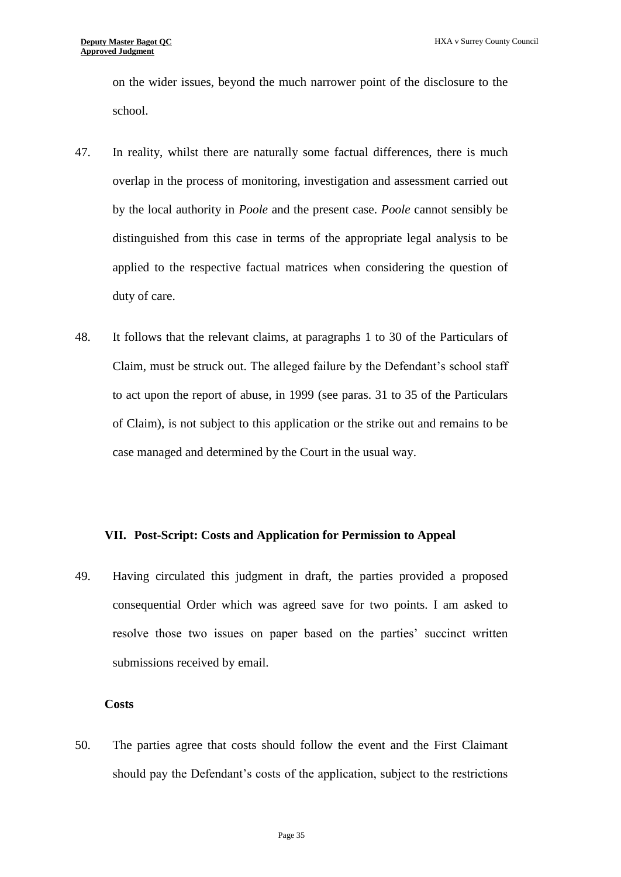on the wider issues, beyond the much narrower point of the disclosure to the school.

- 47. In reality, whilst there are naturally some factual differences, there is much overlap in the process of monitoring, investigation and assessment carried out by the local authority in *Poole* and the present case. *Poole* cannot sensibly be distinguished from this case in terms of the appropriate legal analysis to be applied to the respective factual matrices when considering the question of duty of care.
- 48. It follows that the relevant claims, at paragraphs 1 to 30 of the Particulars of Claim, must be struck out. The alleged failure by the Defendant's school staff to act upon the report of abuse, in 1999 (see paras. 31 to 35 of the Particulars of Claim), is not subject to this application or the strike out and remains to be case managed and determined by the Court in the usual way.

#### **VII. Post-Script: Costs and Application for Permission to Appeal**

49. Having circulated this judgment in draft, the parties provided a proposed consequential Order which was agreed save for two points. I am asked to resolve those two issues on paper based on the parties' succinct written submissions received by email.

#### **Costs**

50. The parties agree that costs should follow the event and the First Claimant should pay the Defendant's costs of the application, subject to the restrictions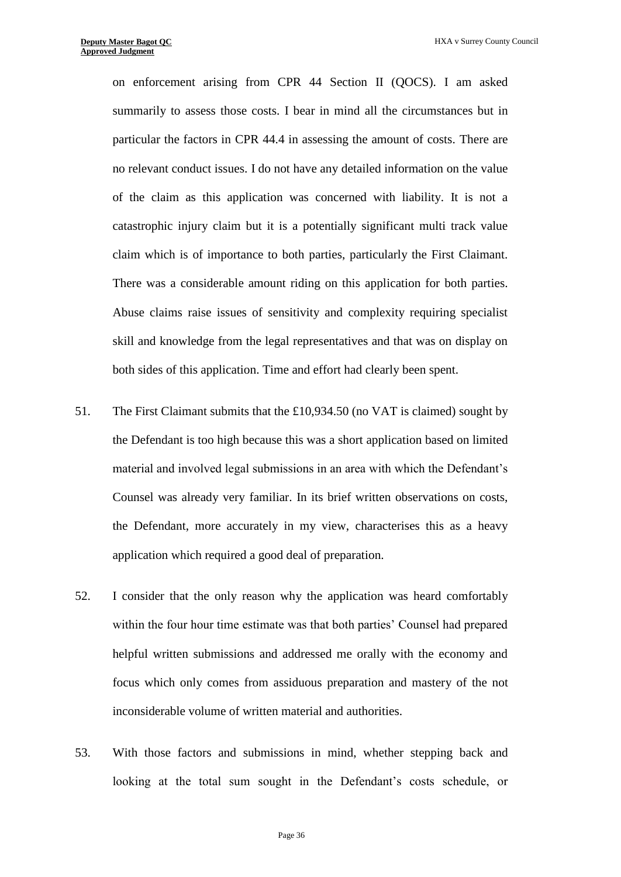on enforcement arising from CPR 44 Section II (QOCS). I am asked summarily to assess those costs. I bear in mind all the circumstances but in particular the factors in CPR 44.4 in assessing the amount of costs. There are no relevant conduct issues. I do not have any detailed information on the value of the claim as this application was concerned with liability. It is not a catastrophic injury claim but it is a potentially significant multi track value claim which is of importance to both parties, particularly the First Claimant. There was a considerable amount riding on this application for both parties. Abuse claims raise issues of sensitivity and complexity requiring specialist skill and knowledge from the legal representatives and that was on display on both sides of this application. Time and effort had clearly been spent.

- 51. The First Claimant submits that the £10,934.50 (no VAT is claimed) sought by the Defendant is too high because this was a short application based on limited material and involved legal submissions in an area with which the Defendant's Counsel was already very familiar. In its brief written observations on costs, the Defendant, more accurately in my view, characterises this as a heavy application which required a good deal of preparation.
- 52. I consider that the only reason why the application was heard comfortably within the four hour time estimate was that both parties' Counsel had prepared helpful written submissions and addressed me orally with the economy and focus which only comes from assiduous preparation and mastery of the not inconsiderable volume of written material and authorities.
- 53. With those factors and submissions in mind, whether stepping back and looking at the total sum sought in the Defendant's costs schedule, or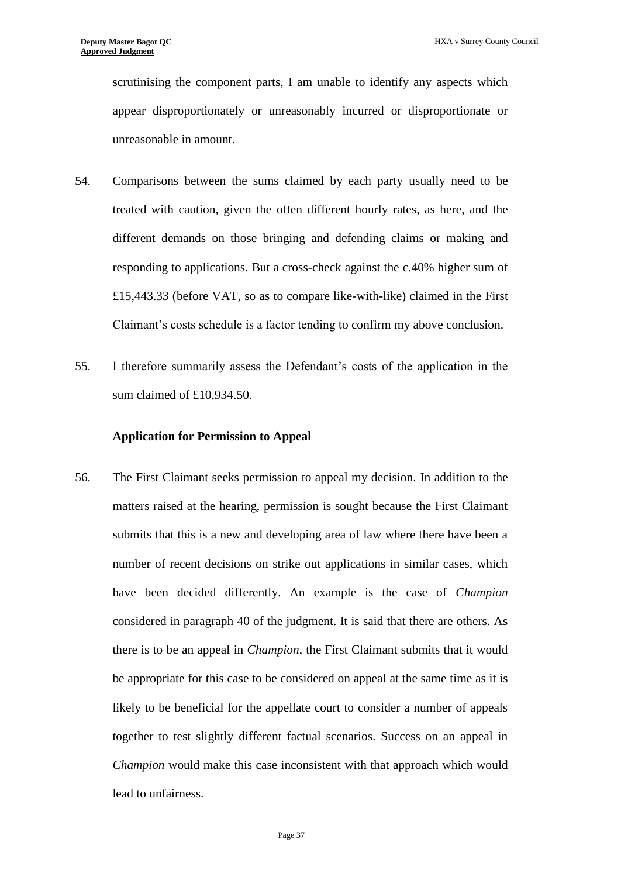scrutinising the component parts, I am unable to identify any aspects which appear disproportionately or unreasonably incurred or disproportionate or unreasonable in amount.

- 54. Comparisons between the sums claimed by each party usually need to be treated with caution, given the often different hourly rates, as here, and the different demands on those bringing and defending claims or making and responding to applications. But a cross-check against the c.40% higher sum of £15,443.33 (before VAT, so as to compare like-with-like) claimed in the First Claimant's costs schedule is a factor tending to confirm my above conclusion.
- 55. I therefore summarily assess the Defendant's costs of the application in the sum claimed of £10,934.50.

#### **Application for Permission to Appeal**

56. The First Claimant seeks permission to appeal my decision. In addition to the matters raised at the hearing, permission is sought because the First Claimant submits that this is a new and developing area of law where there have been a number of recent decisions on strike out applications in similar cases, which have been decided differently. An example is the case of *Champion* considered in paragraph 40 of the judgment. It is said that there are others. As there is to be an appeal in *Champion*, the First Claimant submits that it would be appropriate for this case to be considered on appeal at the same time as it is likely to be beneficial for the appellate court to consider a number of appeals together to test slightly different factual scenarios. Success on an appeal in *Champion* would make this case inconsistent with that approach which would lead to unfairness.